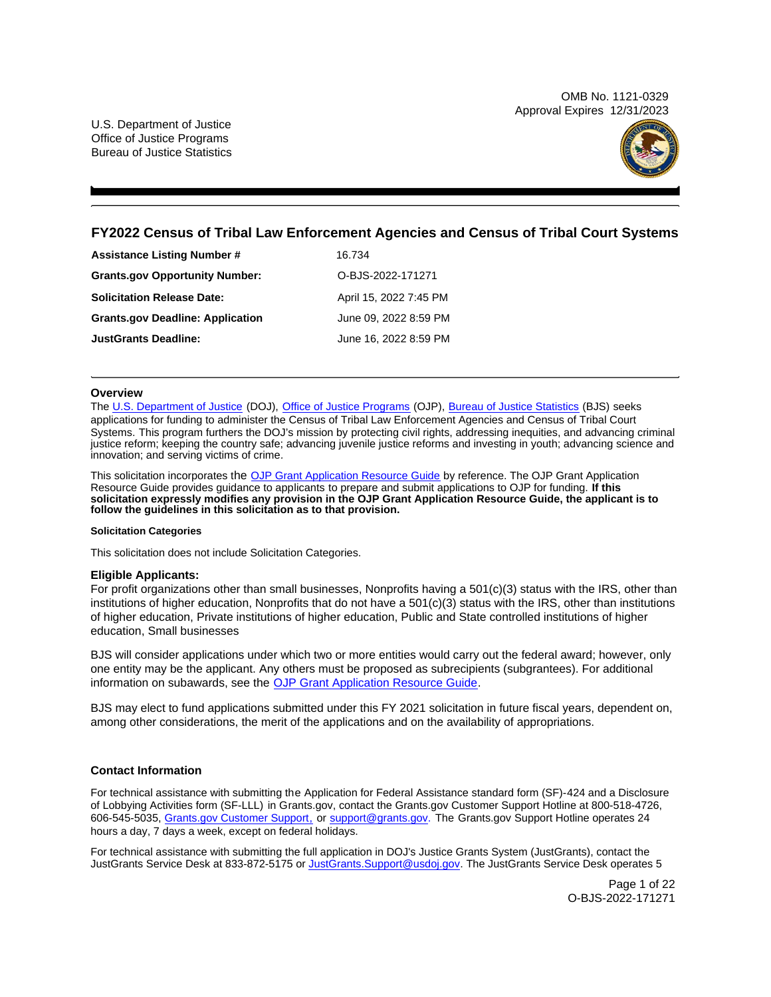OMB No. 1121-0329 Approval Expires 12/31/2023

<span id="page-0-0"></span>U.S. Department of Justice Office of Justice Programs Bureau of Justice Statistics



## **FY2022 Census of Tribal Law Enforcement Agencies and Census of Tribal Court Systems**

| <b>Assistance Listing Number #</b>      | 16.734                 |
|-----------------------------------------|------------------------|
| <b>Grants.gov Opportunity Number:</b>   | O-BJS-2022-171271      |
| <b>Solicitation Release Date:</b>       | April 15, 2022 7:45 PM |
| <b>Grants.gov Deadline: Application</b> | June 09, 2022 8:59 PM  |
| <b>JustGrants Deadline:</b>             | June 16, 2022 8:59 PM  |

#### **Overview**

The [U.S. Department of Justice](https://www.usdoj.gov/) (DOJ), [Office of Justice Programs](https://www.ojp.usdoj.gov/) (OJP), [Bureau of Justice Statistics](https://bjs.ojp.gov/) (BJS) seeks applications for funding to administer the Census of Tribal Law Enforcement Agencies and Census of Tribal Court Systems. This program furthers the DOJ's mission by protecting civil rights, addressing inequities, and advancing criminal justice reform; keeping the country safe; advancing juvenile justice reforms and investing in youth; advancing science and innovation; and serving victims of crime.

This solicitation incorporates the [OJP Grant Application Resource Guide](https://www.ojp.gov/funding/Apply/Resources/Grant-App-Resource-Guide.htm) by reference. The OJP Grant Application Resource Guide provides guidance to applicants to prepare and submit applications to OJP for funding. **If this solicitation expressly modifies any provision in the OJP Grant Application Resource Guide, the applicant is to follow the guidelines in this solicitation as to that provision.** 

#### **Solicitation Categories**

This solicitation does not include Solicitation Categories.

### **Eligible Applicants:**

For profit organizations other than small businesses, Nonprofits having a 501(c)(3) status with the IRS, other than institutions of higher education, Nonprofits that do not have a 501(c)(3) status with the IRS, other than institutions of higher education, Private institutions of higher education, Public and State controlled institutions of higher education, Small businesses

BJS will consider applications under which two or more entities would carry out the federal award; however, only one entity may be the applicant. Any others must be proposed as subrecipients (subgrantees). For additional information on subawards, see the [OJP Grant Application Resource Guide.](https://www.ojp.gov/funding/Apply/Resources/Grant-App-Resource-Guide.htm)

BJS may elect to fund applications submitted under this FY 2021 solicitation in future fiscal years, dependent on, among other considerations, the merit of the applications and on the availability of appropriations.

#### **Contact Information**

For technical assistance with submitting the Application for Federal Assistance standard form (SF)-424 and a Disclosure of Lobbying Activities form (SF-LLL) in [Grants.gov](https://Grants.gov), contact the [Grants.gov](https://Grants.gov) Customer Support Hotline at 800-518-4726, 606-545-5035, [Grants.gov Customer Support,](https://www.grants.gov/web/grants/support.html) or [support@grants.gov.](mailto:support@grants.gov) The [Grants.gov](https://Grants.gov) Support Hotline operates 24 hours a day, 7 days a week, except on federal holidays.

For technical assistance with submitting the full application in DOJ's Justice Grants System (JustGrants), contact the JustGrants Service Desk at 833-872-5175 or [JustGrants.Support@usdoj.gov.](mailto:JustGrants.Support@usdoj.gov) The JustGrants Service Desk operates 5

> Page 1 of 22 O-BJS-2022-171271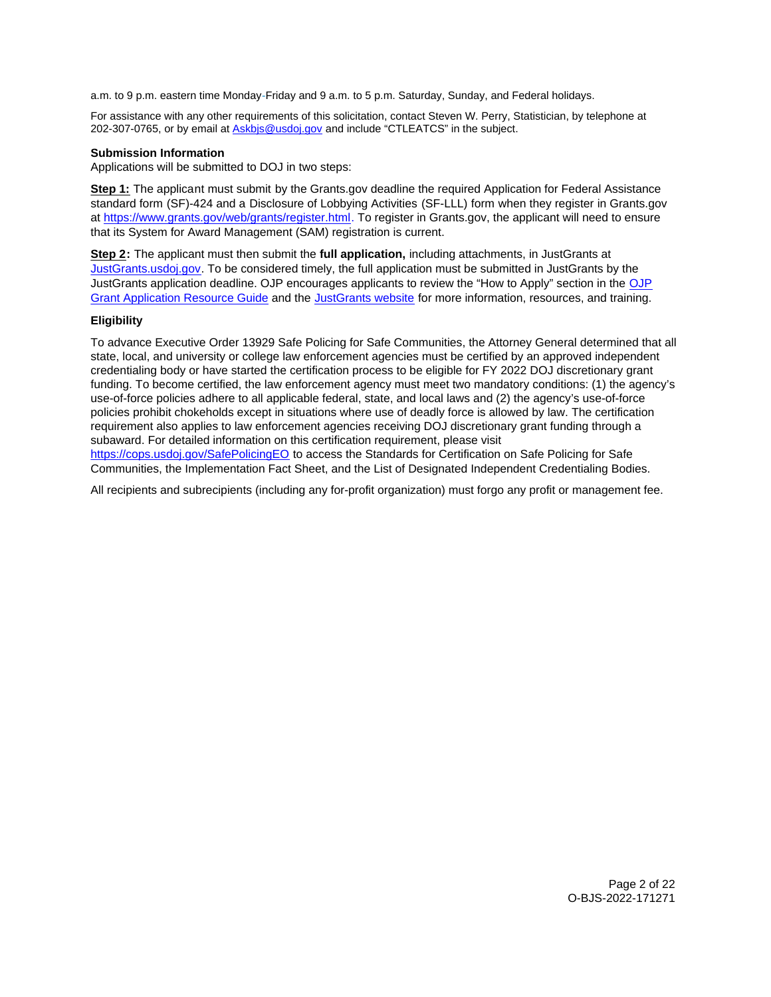a.m. to 9 p.m. eastern time Monday-Friday and 9 a.m. to 5 p.m. Saturday, Sunday, and Federal holidays.

For assistance with any other requirements of this solicitation, contact Steven W. Perry, Statistician, by telephone at 202-307-0765, or by email at [Askbjs@usdoj.gov](mailto:Askbjs@usdoj.gov?subject=22CTLEATCS) and include "CTLEATCS" in the subject.

## **Submission Information**

Applications will be submitted to DOJ in two steps:

**Step 1:** The applicant must submit by the [Grants.gov](https://Grants.gov) deadline the required Application for Federal Assistance standard form (SF)-424 and a Disclosure of Lobbying Activities (SF-LLL) form when they register in [Grants.gov](https://Grants.gov)  at [https://www.grants.gov/web/grants/register.html.](https://www.grants.gov/web/grants/register.html) To register in [Grants.gov,](https://Grants.gov) the applicant will need to ensure that its System for Award Management (SAM) registration is current.

**Step 2:** The applicant must then submit the **full application,** including attachments, in JustGrants at [JustGrants.usdoj.gov.](https://justicegrants.usdoj.gov/) To be considered timely, the full application must be submitted in JustGrants by the JustGrants application deadline. [OJP](https://www.ojp.gov/funding/apply/ojp-grant-application-resource-guide#apply) encourages applicants to review the "How to Apply" section in the OJP [Grant Application Resource Guide](https://www.ojp.gov/funding/apply/ojp-grant-application-resource-guide#apply) and the [JustGrants website](https://justicegrants.usdoj.gov/news) for more information, resources, and training.

## **Eligibility**

To advance Executive Order 13929 Safe Policing for Safe Communities, the Attorney General determined that all state, local, and university or college law enforcement agencies must be certified by an approved independent credentialing body or have started the certification process to be eligible for FY 2022 DOJ discretionary grant funding. To become certified, the law enforcement agency must meet two mandatory conditions: (1) the agency's use-of-force policies adhere to all applicable federal, state, and local laws and (2) the agency's use-of-force policies prohibit chokeholds except in situations where use of deadly force is allowed by law. The certification requirement also applies to law enforcement agencies receiving DOJ discretionary grant funding through a subaward. For detailed information on this certification requirement, please visit <https://cops.usdoj.gov/SafePolicingEO>to access the Standards for Certification on Safe Policing for Safe Communities, the Implementation Fact Sheet, and the List of Designated Independent Credentialing Bodies.

All recipients and subrecipients (including any for-profit organization) must forgo any profit or management fee.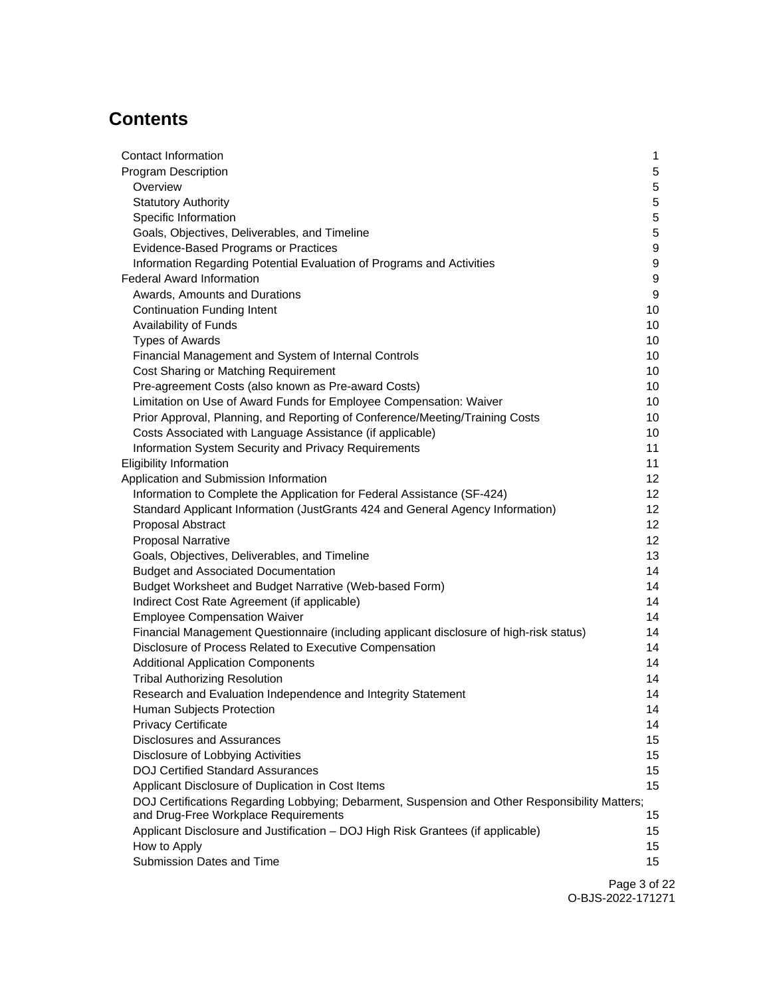# **Contents**

| Contact Information                                                                            | 1               |
|------------------------------------------------------------------------------------------------|-----------------|
| <b>Program Description</b>                                                                     | 5               |
| Overview                                                                                       | 5               |
| <b>Statutory Authority</b>                                                                     | 5               |
| Specific Information                                                                           | 5               |
| Goals, Objectives, Deliverables, and Timeline                                                  | 5               |
| Evidence-Based Programs or Practices                                                           | 9               |
| Information Regarding Potential Evaluation of Programs and Activities                          | 9               |
| <b>Federal Award Information</b>                                                               | 9               |
| Awards, Amounts and Durations                                                                  | 9               |
| <b>Continuation Funding Intent</b>                                                             | 10              |
| Availability of Funds                                                                          | 10              |
| <b>Types of Awards</b>                                                                         | 10              |
| Financial Management and System of Internal Controls                                           | 10              |
| Cost Sharing or Matching Requirement                                                           | 10              |
| Pre-agreement Costs (also known as Pre-award Costs)                                            | 10              |
| Limitation on Use of Award Funds for Employee Compensation: Waiver                             | 10              |
| Prior Approval, Planning, and Reporting of Conference/Meeting/Training Costs                   | 10              |
| Costs Associated with Language Assistance (if applicable)                                      | 10              |
| Information System Security and Privacy Requirements                                           | 11              |
| <b>Eligibility Information</b>                                                                 | 11              |
| Application and Submission Information                                                         | 12 <sup>°</sup> |
| Information to Complete the Application for Federal Assistance (SF-424)                        | 12 <sup>°</sup> |
| Standard Applicant Information (JustGrants 424 and General Agency Information)                 | 12 <sub>2</sub> |
| Proposal Abstract                                                                              | 12 <sup>2</sup> |
| <b>Proposal Narrative</b>                                                                      | 12 <sup>2</sup> |
| Goals, Objectives, Deliverables, and Timeline                                                  | 13              |
| <b>Budget and Associated Documentation</b>                                                     | 14              |
| Budget Worksheet and Budget Narrative (Web-based Form)                                         | 14              |
| Indirect Cost Rate Agreement (if applicable)                                                   | 14              |
| <b>Employee Compensation Waiver</b>                                                            | 14              |
| Financial Management Questionnaire (including applicant disclosure of high-risk status)        | 14              |
| Disclosure of Process Related to Executive Compensation                                        | 14              |
| <b>Additional Application Components</b>                                                       | 14              |
| <b>Tribal Authorizing Resolution</b>                                                           | 14              |
| Research and Evaluation Independence and Integrity Statement                                   | 14              |
| <b>Human Subjects Protection</b>                                                               | 14              |
| <b>Privacy Certificate</b>                                                                     | 14              |
| <b>Disclosures and Assurances</b>                                                              | 15              |
| Disclosure of Lobbying Activities                                                              | 15              |
| <b>DOJ Certified Standard Assurances</b>                                                       | 15              |
| Applicant Disclosure of Duplication in Cost Items                                              | 15              |
| DOJ Certifications Regarding Lobbying; Debarment, Suspension and Other Responsibility Matters; |                 |
| and Drug-Free Workplace Requirements                                                           | 15              |
| Applicant Disclosure and Justification - DOJ High Risk Grantees (if applicable)                | 15              |
| How to Apply                                                                                   | 15              |
| Submission Dates and Time                                                                      | 15              |
|                                                                                                |                 |

Page 3 of 22 O-BJS-2022-171271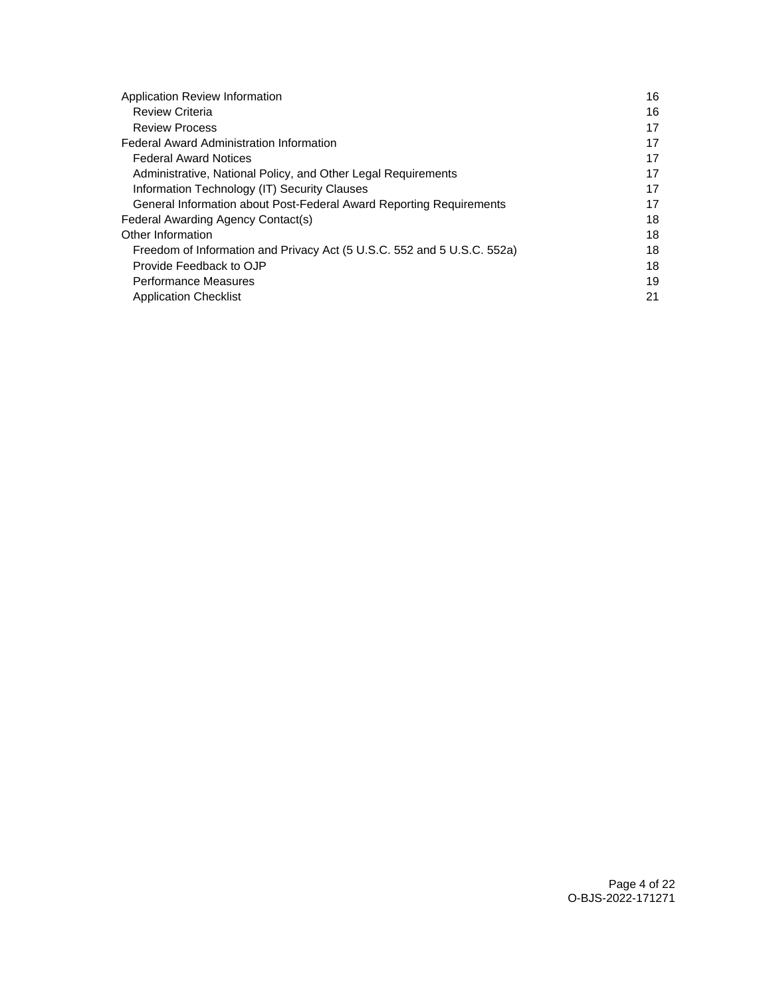| Application Review Information                                          | 16 |
|-------------------------------------------------------------------------|----|
| <b>Review Criteria</b>                                                  | 16 |
| <b>Review Process</b>                                                   | 17 |
| <b>Federal Award Administration Information</b>                         | 17 |
| <b>Federal Award Notices</b>                                            | 17 |
| Administrative, National Policy, and Other Legal Requirements           | 17 |
| Information Technology (IT) Security Clauses                            | 17 |
| General Information about Post-Federal Award Reporting Requirements     | 17 |
| Federal Awarding Agency Contact(s)                                      | 18 |
| Other Information                                                       | 18 |
| Freedom of Information and Privacy Act (5 U.S.C. 552 and 5 U.S.C. 552a) | 18 |
| Provide Feedback to OJP                                                 | 18 |
| <b>Performance Measures</b>                                             | 19 |
| <b>Application Checklist</b>                                            | 21 |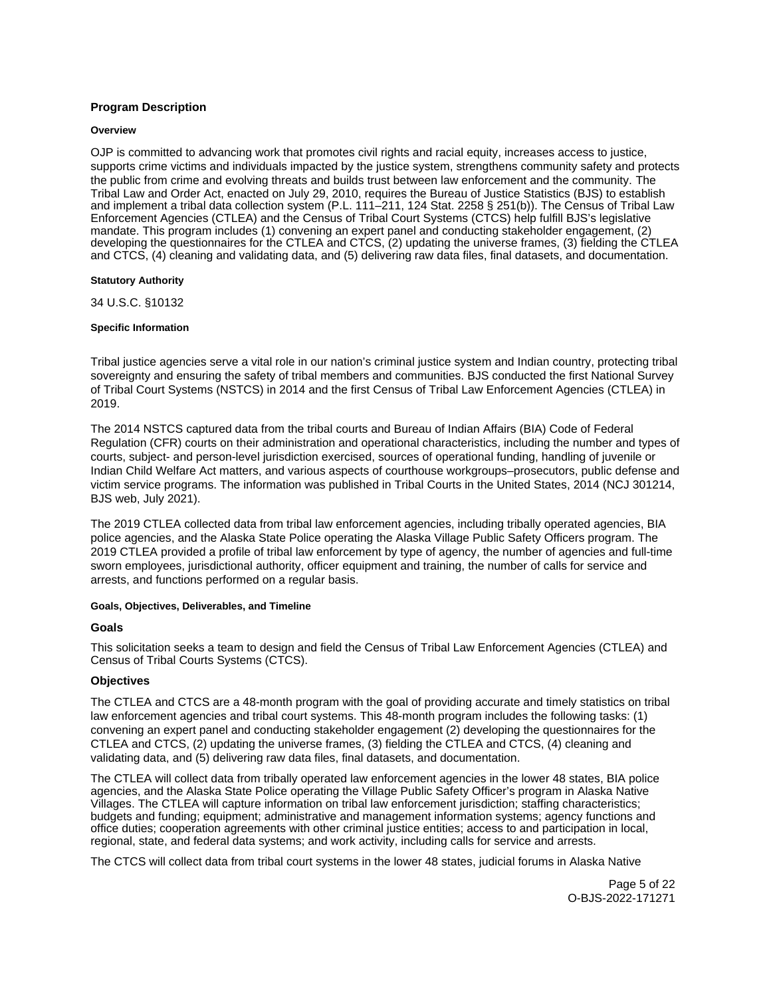## <span id="page-4-0"></span>**Program Description**

#### **Overview**

OJP is committed to advancing work that promotes civil rights and racial equity, increases access to justice, supports crime victims and individuals impacted by the justice system, strengthens community safety and protects the public from crime and evolving threats and builds trust between law enforcement and the community. The Tribal Law and Order Act, enacted on July 29, 2010, requires the Bureau of Justice Statistics (BJS) to establish and implement a tribal data collection system (P.L. 111–211, 124 Stat. 2258 § 251(b)). The Census of Tribal Law Enforcement Agencies (CTLEA) and the Census of Tribal Court Systems (CTCS) help fulfill BJS's legislative mandate. This program includes (1) convening an expert panel and conducting stakeholder engagement, (2) developing the questionnaires for the CTLEA and CTCS, (2) updating the universe frames, (3) fielding the CTLEA and CTCS, (4) cleaning and validating data, and (5) delivering raw data files, final datasets, and documentation.

## **Statutory Authority**

34 U.S.C. §10132

#### **Specific Information**

Tribal justice agencies serve a vital role in our nation's criminal justice system and Indian country, protecting tribal sovereignty and ensuring the safety of tribal members and communities. BJS conducted the first National Survey of Tribal Court Systems (NSTCS) in 2014 and the first Census of Tribal Law Enforcement Agencies (CTLEA) in 2019.

The 2014 NSTCS captured data from the tribal courts and Bureau of Indian Affairs (BIA) Code of Federal Regulation (CFR) courts on their administration and operational characteristics, including the number and types of courts, subject- and person-level jurisdiction exercised, sources of operational funding, handling of juvenile or Indian Child Welfare Act matters, and various aspects of courthouse workgroups–prosecutors, public defense and victim service programs. The information was published in Tribal Courts in the United States, 2014 (NCJ 301214, BJS web, July 2021).

The 2019 CTLEA collected data from tribal law enforcement agencies, including tribally operated agencies, BIA police agencies, and the Alaska State Police operating the Alaska Village Public Safety Officers program. The 2019 CTLEA provided a profile of tribal law enforcement by type of agency, the number of agencies and full-time sworn employees, jurisdictional authority, officer equipment and training, the number of calls for service and arrests, and functions performed on a regular basis.

#### **Goals, Objectives, Deliverables, and Timeline**

## **Goals**

This solicitation seeks a team to design and field the Census of Tribal Law Enforcement Agencies (CTLEA) and Census of Tribal Courts Systems (CTCS).

## **Objectives**

The CTLEA and CTCS are a 48-month program with the goal of providing accurate and timely statistics on tribal law enforcement agencies and tribal court systems. This 48-month program includes the following tasks: (1) convening an expert panel and conducting stakeholder engagement (2) developing the questionnaires for the CTLEA and CTCS, (2) updating the universe frames, (3) fielding the CTLEA and CTCS, (4) cleaning and validating data, and (5) delivering raw data files, final datasets, and documentation.

The CTLEA will collect data from tribally operated law enforcement agencies in the lower 48 states, BIA police agencies, and the Alaska State Police operating the Village Public Safety Officer's program in Alaska Native Villages. The CTLEA will capture information on tribal law enforcement jurisdiction; staffing characteristics; budgets and funding; equipment; administrative and management information systems; agency functions and office duties; cooperation agreements with other criminal justice entities; access to and participation in local, regional, state, and federal data systems; and work activity, including calls for service and arrests.

The CTCS will collect data from tribal court systems in the lower 48 states, judicial forums in Alaska Native

Page 5 of 22 O-BJS-2022-171271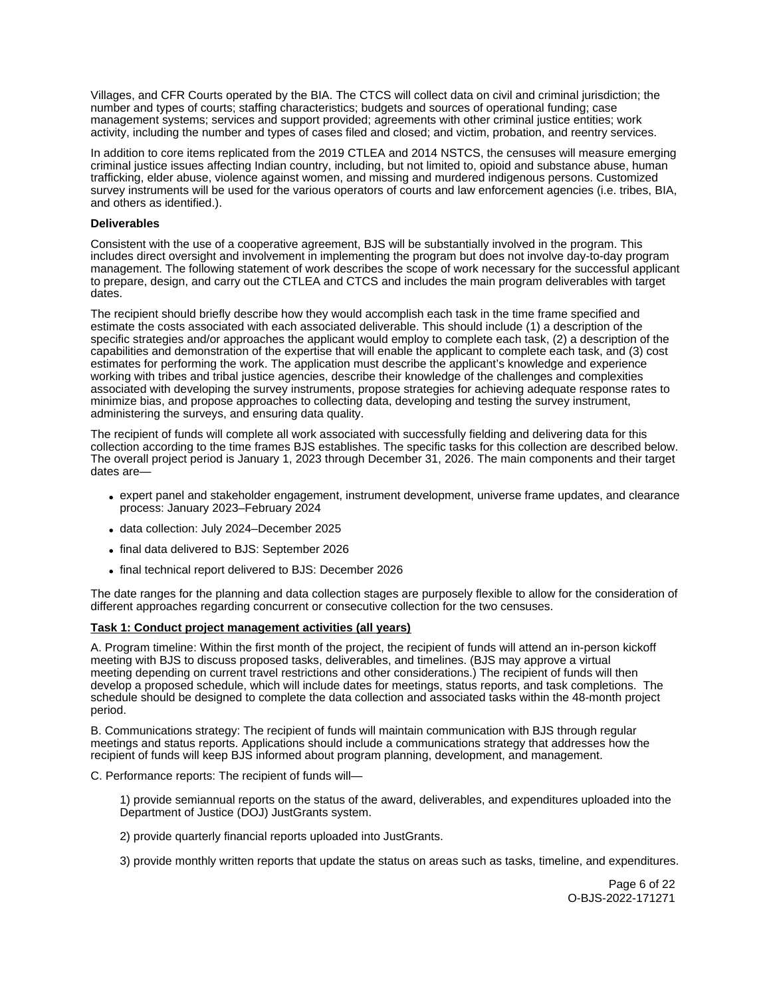Villages, and CFR Courts operated by the BIA. The CTCS will collect data on civil and criminal jurisdiction; the number and types of courts; staffing characteristics; budgets and sources of operational funding; case management systems; services and support provided; agreements with other criminal justice entities; work activity, including the number and types of cases filed and closed; and victim, probation, and reentry services.

In addition to core items replicated from the 2019 CTLEA and 2014 NSTCS, the censuses will measure emerging criminal justice issues affecting Indian country, including, but not limited to, opioid and substance abuse, human trafficking, elder abuse, violence against women, and missing and murdered indigenous persons. Customized survey instruments will be used for the various operators of courts and law enforcement agencies (i.e. tribes, BIA, and others as identified.).

## **Deliverables**

Consistent with the use of a cooperative agreement, BJS will be substantially involved in the program. This includes direct oversight and involvement in implementing the program but does not involve day-to-day program management. The following statement of work describes the scope of work necessary for the successful applicant to prepare, design, and carry out the CTLEA and CTCS and includes the main program deliverables with target dates.

The recipient should briefly describe how they would accomplish each task in the time frame specified and estimate the costs associated with each associated deliverable. This should include (1) a description of the specific strategies and/or approaches the applicant would employ to complete each task, (2) a description of the capabilities and demonstration of the expertise that will enable the applicant to complete each task, and (3) cost estimates for performing the work. The application must describe the applicant's knowledge and experience working with tribes and tribal justice agencies, describe their knowledge of the challenges and complexities associated with developing the survey instruments, propose strategies for achieving adequate response rates to minimize bias, and propose approaches to collecting data, developing and testing the survey instrument, administering the surveys, and ensuring data quality.

The recipient of funds will complete all work associated with successfully fielding and delivering data for this collection according to the time frames BJS establishes. The specific tasks for this collection are described below. The overall project period is January 1, 2023 through December 31, 2026. The main components and their target dates are—

- expert panel and stakeholder engagement, instrument development, universe frame updates, and clearance process: January 2023–February 2024
- data collection: July 2024–December 2025
- final data delivered to BJS: September 2026
- final technical report delivered to BJS: December 2026

The date ranges for the planning and data collection stages are purposely flexible to allow for the consideration of different approaches regarding concurrent or consecutive collection for the two censuses.

## **Task 1: Conduct project management activities (all years)**

A. Program timeline: Within the first month of the project, the recipient of funds will attend an in-person kickoff meeting with BJS to discuss proposed tasks, deliverables, and timelines. (BJS may approve a virtual meeting depending on current travel restrictions and other considerations.) The recipient of funds will then develop a proposed schedule, which will include dates for meetings, status reports, and task completions. The schedule should be designed to complete the data collection and associated tasks within the 48-month project period.

B. Communications strategy: The recipient of funds will maintain communication with BJS through regular meetings and status reports. Applications should include a communications strategy that addresses how the recipient of funds will keep BJS informed about program planning, development, and management.

C. Performance reports: The recipient of funds will—

1) provide semiannual reports on the status of the award, deliverables, and expenditures uploaded into the Department of Justice (DOJ) JustGrants system.

2) provide quarterly financial reports uploaded into JustGrants.

3) provide monthly written reports that update the status on areas such as tasks, timeline, and expenditures.

Page 6 of 22 O-BJS-2022-171271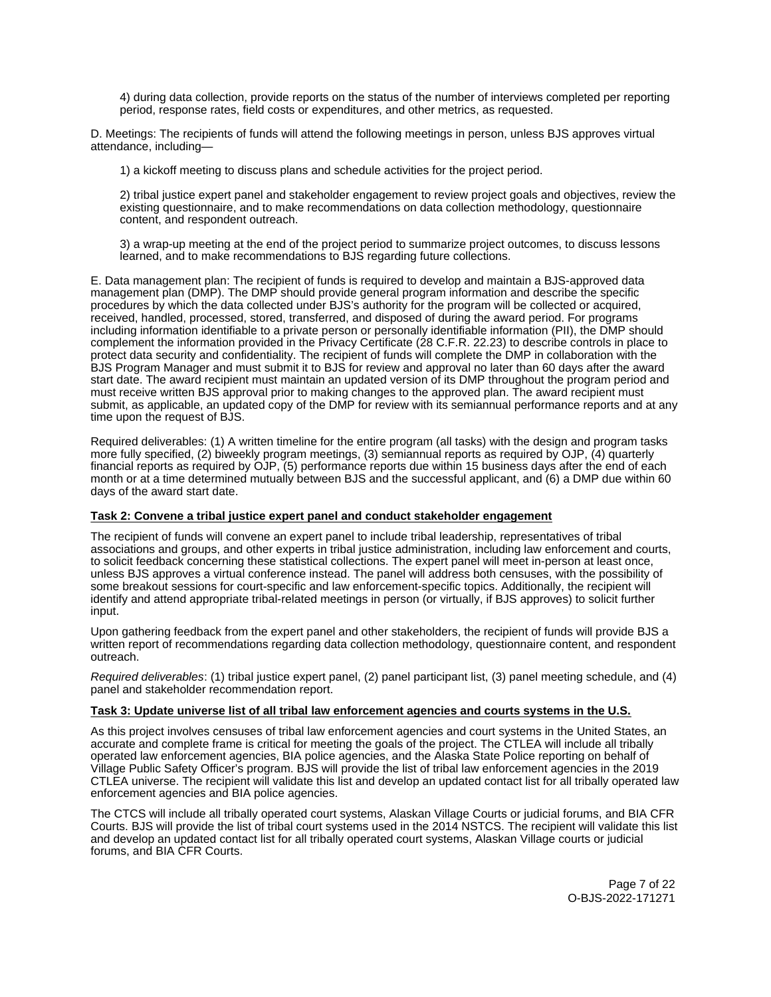4) during data collection, provide reports on the status of the number of interviews completed per reporting period, response rates, field costs or expenditures, and other metrics, as requested.

D. Meetings: The recipients of funds will attend the following meetings in person, unless BJS approves virtual attendance, including—

1) a kickoff meeting to discuss plans and schedule activities for the project period.

2) tribal justice expert panel and stakeholder engagement to review project goals and objectives, review the existing questionnaire, and to make recommendations on data collection methodology, questionnaire content, and respondent outreach.

3) a wrap-up meeting at the end of the project period to summarize project outcomes, to discuss lessons learned, and to make recommendations to BJS regarding future collections.

E. Data management plan: The recipient of funds is required to develop and maintain a BJS-approved data management plan (DMP). The DMP should provide general program information and describe the specific procedures by which the data collected under BJS's authority for the program will be collected or acquired, received, handled, processed, stored, transferred, and disposed of during the award period. For programs including information identifiable to a private person or personally identifiable information (PII), the DMP should complement the information provided in the Privacy Certificate (28 C.F.R. 22.23) to describe controls in place to protect data security and confidentiality. The recipient of funds will complete the DMP in collaboration with the BJS Program Manager and must submit it to BJS for review and approval no later than 60 days after the award start date. The award recipient must maintain an updated version of its DMP throughout the program period and must receive written BJS approval prior to making changes to the approved plan. The award recipient must submit, as applicable, an updated copy of the DMP for review with its semiannual performance reports and at any time upon the request of BJS.

Required deliverables: (1) A written timeline for the entire program (all tasks) with the design and program tasks more fully specified, (2) biweekly program meetings, (3) semiannual reports as required by OJP, (4) quarterly financial reports as required by OJP, (5) performance reports due within 15 business days after the end of each month or at a time determined mutually between BJS and the successful applicant, and (6) a DMP due within 60 days of the award start date.

## **Task 2: Convene a tribal justice expert panel and conduct stakeholder engagement**

The recipient of funds will convene an expert panel to include tribal leadership, representatives of tribal associations and groups, and other experts in tribal justice administration, including law enforcement and courts, to solicit feedback concerning these statistical collections. The expert panel will meet in-person at least once, unless BJS approves a virtual conference instead. The panel will address both censuses, with the possibility of some breakout sessions for court-specific and law enforcement-specific topics. Additionally, the recipient will identify and attend appropriate tribal-related meetings in person (or virtually, if BJS approves) to solicit further input.

Upon gathering feedback from the expert panel and other stakeholders, the recipient of funds will provide BJS a written report of recommendations regarding data collection methodology, questionnaire content, and respondent outreach.

Required deliverables: (1) tribal justice expert panel, (2) panel participant list, (3) panel meeting schedule, and (4) panel and stakeholder recommendation report.

## **Task 3: Update universe list of all tribal law enforcement agencies and courts systems in the U.S.**

As this project involves censuses of tribal law enforcement agencies and court systems in the United States, an accurate and complete frame is critical for meeting the goals of the project. The CTLEA will include all tribally operated law enforcement agencies, BIA police agencies, and the Alaska State Police reporting on behalf of Village Public Safety Officer's program. BJS will provide the list of tribal law enforcement agencies in the 2019 CTLEA universe. The recipient will validate this list and develop an updated contact list for all tribally operated law enforcement agencies and BIA police agencies.

The CTCS will include all tribally operated court systems, Alaskan Village Courts or judicial forums, and BIA CFR Courts. BJS will provide the list of tribal court systems used in the 2014 NSTCS. The recipient will validate this list and develop an updated contact list for all tribally operated court systems, Alaskan Village courts or judicial forums, and BIA CFR Courts.

> Page 7 of 22 O-BJS-2022-171271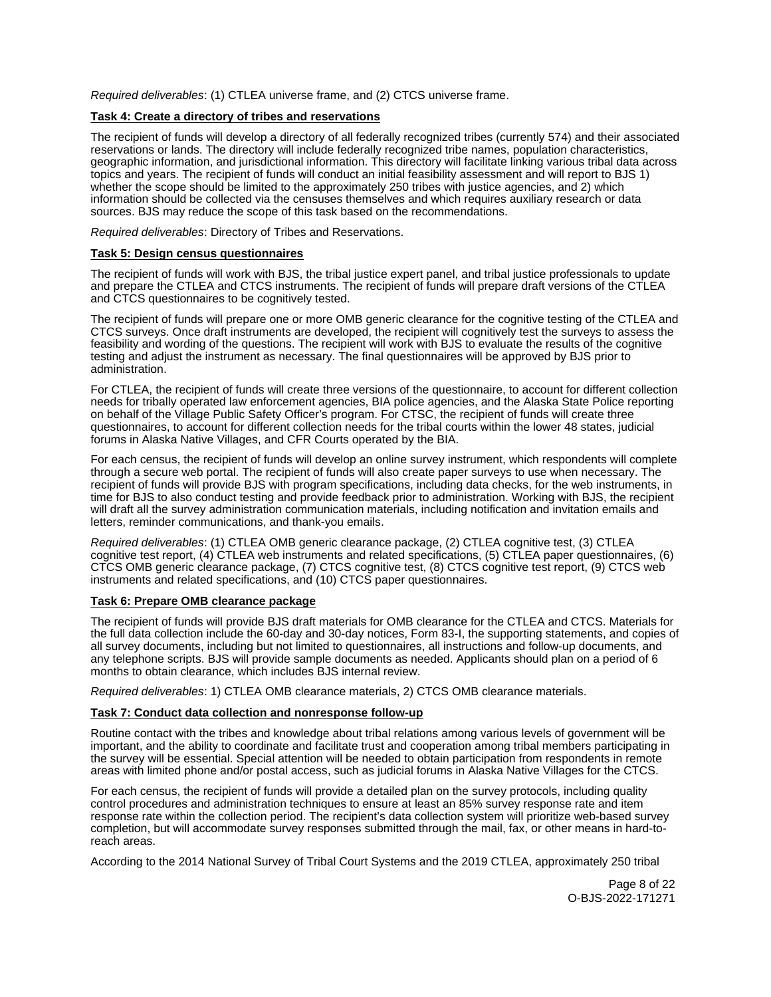Required deliverables: (1) CTLEA universe frame, and (2) CTCS universe frame.

## **Task 4: Create a directory of tribes and reservations**

The recipient of funds will develop a directory of all federally recognized tribes (currently 574) and their associated reservations or lands. The directory will include federally recognized tribe names, population characteristics, geographic information, and jurisdictional information. This directory will facilitate linking various tribal data across topics and years. The recipient of funds will conduct an initial feasibility assessment and will report to BJS 1) whether the scope should be limited to the approximately 250 tribes with justice agencies, and 2) which information should be collected via the censuses themselves and which requires auxiliary research or data sources. BJS may reduce the scope of this task based on the recommendations.

Required deliverables: Directory of Tribes and Reservations.

## **Task 5: Design census questionnaires**

The recipient of funds will work with BJS, the tribal justice expert panel, and tribal justice professionals to update and prepare the CTLEA and CTCS instruments. The recipient of funds will prepare draft versions of the CTLEA and CTCS questionnaires to be cognitively tested.

The recipient of funds will prepare one or more OMB generic clearance for the cognitive testing of the CTLEA and CTCS surveys. Once draft instruments are developed, the recipient will cognitively test the surveys to assess the feasibility and wording of the questions. The recipient will work with BJS to evaluate the results of the cognitive testing and adjust the instrument as necessary. The final questionnaires will be approved by BJS prior to administration.

For CTLEA, the recipient of funds will create three versions of the questionnaire, to account for different collection needs for tribally operated law enforcement agencies, BIA police agencies, and the Alaska State Police reporting on behalf of the Village Public Safety Officer's program. For CTSC, the recipient of funds will create three questionnaires, to account for different collection needs for the tribal courts within the lower 48 states, judicial forums in Alaska Native Villages, and CFR Courts operated by the BIA.

For each census, the recipient of funds will develop an online survey instrument, which respondents will complete through a secure web portal. The recipient of funds will also create paper surveys to use when necessary. The recipient of funds will provide BJS with program specifications, including data checks, for the web instruments, in time for BJS to also conduct testing and provide feedback prior to administration. Working with BJS, the recipient will draft all the survey administration communication materials, including notification and invitation emails and letters, reminder communications, and thank-you emails.

Required deliverables: (1) CTLEA OMB generic clearance package, (2) CTLEA cognitive test, (3) CTLEA cognitive test report, (4) CTLEA web instruments and related specifications, (5) CTLEA paper questionnaires, (6) CTCS OMB generic clearance package, (7) CTCS cognitive test, (8) CTCS cognitive test report, (9) CTCS web instruments and related specifications, and (10) CTCS paper questionnaires.

## **Task 6: Prepare OMB clearance package**

The recipient of funds will provide BJS draft materials for OMB clearance for the CTLEA and CTCS. Materials for the full data collection include the 60-day and 30-day notices, Form 83-I, the supporting statements, and copies of all survey documents, including but not limited to questionnaires, all instructions and follow-up documents, and any telephone scripts. BJS will provide sample documents as needed. Applicants should plan on a period of 6 months to obtain clearance, which includes BJS internal review.

Required deliverables: 1) CTLEA OMB clearance materials, 2) CTCS OMB clearance materials.

#### **Task 7: Conduct data collection and nonresponse follow-up**

Routine contact with the tribes and knowledge about tribal relations among various levels of government will be important, and the ability to coordinate and facilitate trust and cooperation among tribal members participating in the survey will be essential. Special attention will be needed to obtain participation from respondents in remote areas with limited phone and/or postal access, such as judicial forums in Alaska Native Villages for the CTCS.

For each census, the recipient of funds will provide a detailed plan on the survey protocols, including quality control procedures and administration techniques to ensure at least an 85% survey response rate and item response rate within the collection period. The recipient's data collection system will prioritize web-based survey completion, but will accommodate survey responses submitted through the mail, fax, or other means in hard-toreach areas.

According to the 2014 National Survey of Tribal Court Systems and the 2019 CTLEA, approximately 250 tribal

Page 8 of 22 O-BJS-2022-171271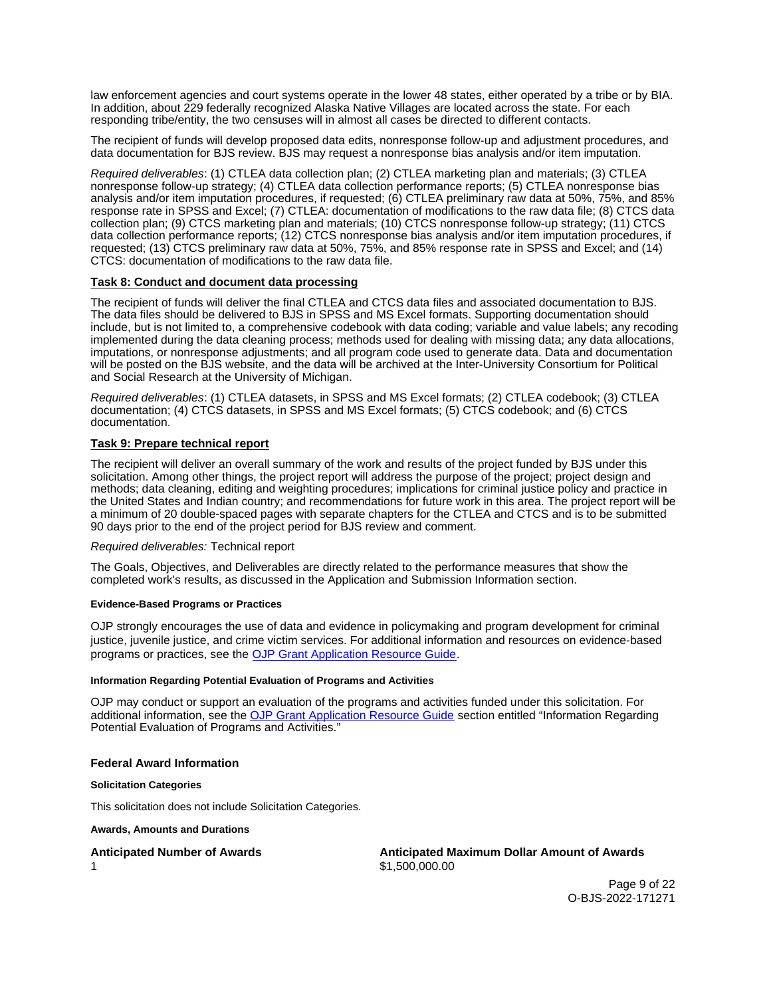<span id="page-8-0"></span>law enforcement agencies and court systems operate in the lower 48 states, either operated by a tribe or by BIA. In addition, about 229 federally recognized Alaska Native Villages are located across the state. For each responding tribe/entity, the two censuses will in almost all cases be directed to different contacts.

The recipient of funds will develop proposed data edits, nonresponse follow-up and adjustment procedures, and data documentation for BJS review. BJS may request a nonresponse bias analysis and/or item imputation.

Required deliverables: (1) CTLEA data collection plan; (2) CTLEA marketing plan and materials; (3) CTLEA nonresponse follow-up strategy; (4) CTLEA data collection performance reports; (5) CTLEA nonresponse bias analysis and/or item imputation procedures, if requested; (6) CTLEA preliminary raw data at 50%, 75%, and 85% response rate in SPSS and Excel; (7) CTLEA: documentation of modifications to the raw data file; (8) CTCS data collection plan; (9) CTCS marketing plan and materials; (10) CTCS nonresponse follow-up strategy; (11) CTCS data collection performance reports; (12) CTCS nonresponse bias analysis and/or item imputation procedures, if requested; (13) CTCS preliminary raw data at 50%, 75%, and 85% response rate in SPSS and Excel; and (14) CTCS: documentation of modifications to the raw data file.

#### **Task 8: Conduct and document data processing**

The recipient of funds will deliver the final CTLEA and CTCS data files and associated documentation to BJS. The data files should be delivered to BJS in SPSS and MS Excel formats. Supporting documentation should include, but is not limited to, a comprehensive codebook with data coding; variable and value labels; any recoding implemented during the data cleaning process; methods used for dealing with missing data; any data allocations, imputations, or nonresponse adjustments; and all program code used to generate data. Data and documentation will be posted on the BJS website, and the data will be archived at the Inter-University Consortium for Political and Social Research at the University of Michigan.

Required deliverables: (1) CTLEA datasets, in SPSS and MS Excel formats; (2) CTLEA codebook; (3) CTLEA documentation; (4) CTCS datasets, in SPSS and MS Excel formats; (5) CTCS codebook; and (6) CTCS documentation.

## **Task 9: Prepare technical report**

The recipient will deliver an overall summary of the work and results of the project funded by BJS under this solicitation. Among other things, the project report will address the purpose of the project; project design and methods; data cleaning, editing and weighting procedures; implications for criminal justice policy and practice in the United States and Indian country; and recommendations for future work in this area. The project report will be a minimum of 20 double-spaced pages with separate chapters for the CTLEA and CTCS and is to be submitted 90 days prior to the end of the project period for BJS review and comment.

## Required deliverables: Technical report

The Goals, Objectives, and Deliverables are directly related to the performance measures that show the completed work's results, as discussed in the Application and Submission Information section.

#### **Evidence-Based Programs or Practices**

OJP strongly encourages the use of data and evidence in policymaking and program development for criminal justice, juvenile justice, and crime victim services. For additional information and resources on evidence-based programs or practices, see the [OJP Grant Application Resource Guide.](https://www.ojp.gov/funding/apply/ojp-grant-application-resource-guide#evidence-based)

#### **Information Regarding Potential Evaluation of Programs and Activities**

OJP may conduct or support an evaluation of the programs and activities funded under this solicitation. For additional information, see the [OJP Grant Application Resource Guide](https://www.ojp.gov/funding/apply/ojp-grant-application-resource-guide#potential-evaluation) section entitled "Information Regarding Potential Evaluation of Programs and Activities."

#### **Federal Award Information**

**Solicitation Categories** 

This solicitation does not include Solicitation Categories.

**Awards, Amounts and Durations** 

**Anticipated Number of Awards Anticipated Maximum Dollar Amount of Awards**  1 \$1,500,000.00

Page 9 of 22 O-BJS-2022-171271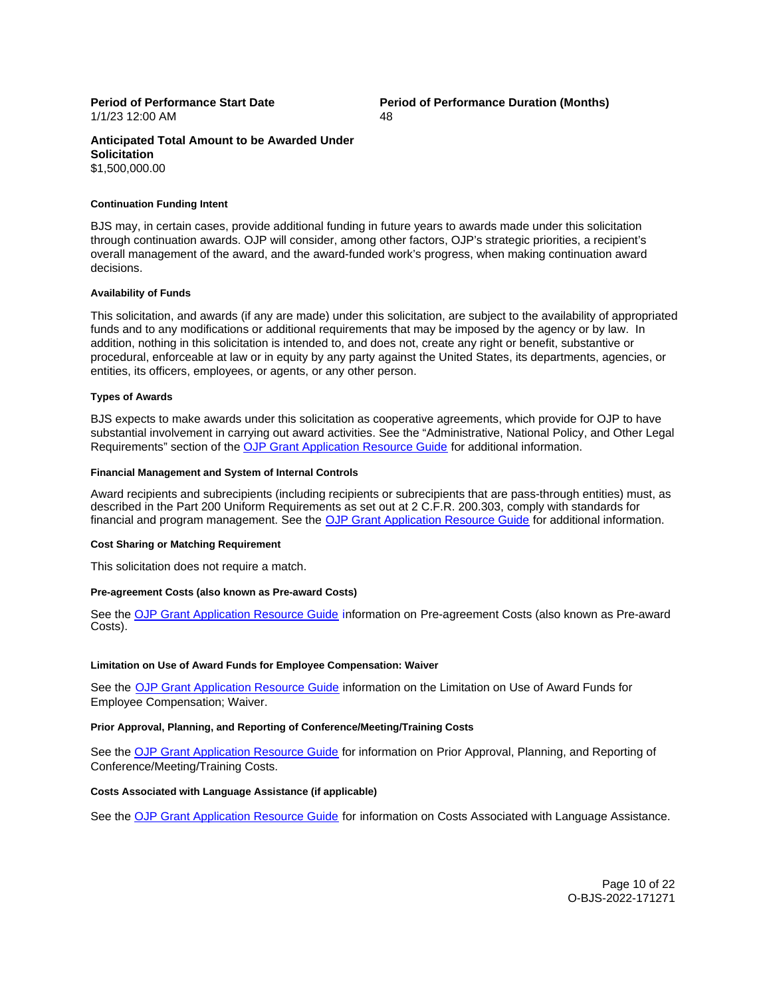1/1/23 12:00 AM 48

<span id="page-9-0"></span>**Period of Performance Start Date Mate Review Period of Performance Duration (Months)** 

## **Anticipated Total Amount to be Awarded Under Solicitation**  \$1,500,000.00

#### **Continuation Funding Intent**

BJS may, in certain cases, provide additional funding in future years to awards made under this solicitation through continuation awards. OJP will consider, among other factors, OJP's strategic priorities, a recipient's overall management of the award, and the award-funded work's progress, when making continuation award decisions.

#### **Availability of Funds**

This solicitation, and awards (if any are made) under this solicitation, are subject to the availability of appropriated funds and to any modifications or additional requirements that may be imposed by the agency or by law. In addition, nothing in this solicitation is intended to, and does not, create any right or benefit, substantive or procedural, enforceable at law or in equity by any party against the United States, its departments, agencies, or entities, its officers, employees, or agents, or any other person.

## **Types of Awards**

BJS expects to make awards under this solicitation as cooperative agreements, which provide for OJP to have substantial involvement in carrying out award activities. See the "Administrative, National Policy, and Other Legal Requirements" section of the [OJP Grant Application Resource Guide](https://www.ojp.gov/funding/apply/ojp-grant-application-resource-guide#administrative) for additional information.

#### **Financial Management and System of Internal Controls**

Award recipients and subrecipients (including recipients or subrecipients that are pass-through entities) must, as described in the Part 200 Uniform Requirements as set out at 2 C.F.R. 200.303, comply with standards for financial and program management. See the [OJP Grant Application Resource Guide](https://www.ojp.gov/funding/apply/ojp-grant-application-resource-guide#fm-internal-controls) for additional information.

#### **Cost Sharing or Matching Requirement**

This solicitation does not require a match.

## **Pre-agreement Costs (also known as Pre-award Costs)**

See the [OJP Grant Application Resource Guide](https://www.ojp.gov/funding/apply/ojp-grant-application-resource-guide#pre-agreement-costs) information on Pre-agreement Costs (also known as Pre-award Costs).

#### **Limitation on Use of Award Funds for Employee Compensation: Waiver**

See the [OJP Grant Application Resource Guide](https://www.ojp.gov/funding/apply/ojp-grant-application-resource-guide#limitation-use-award) information on the Limitation on Use of Award Funds for Employee Compensation; Waiver.

#### **Prior Approval, Planning, and Reporting of Conference/Meeting/Training Costs**

See the [OJP Grant Application Resource Guide](https://www.ojp.gov/funding/apply/ojp-grant-application-resource-guide#prior-approval) for information on Prior Approval, Planning, and Reporting of Conference/Meeting/Training Costs.

#### **Costs Associated with Language Assistance (if applicable)**

See the [OJP Grant Application Resource Guide](https://www.ojp.gov/funding/apply/ojp-grant-application-resource-guide#costs-associated) for information on Costs Associated with Language Assistance.

Page 10 of 22 O-BJS-2022-171271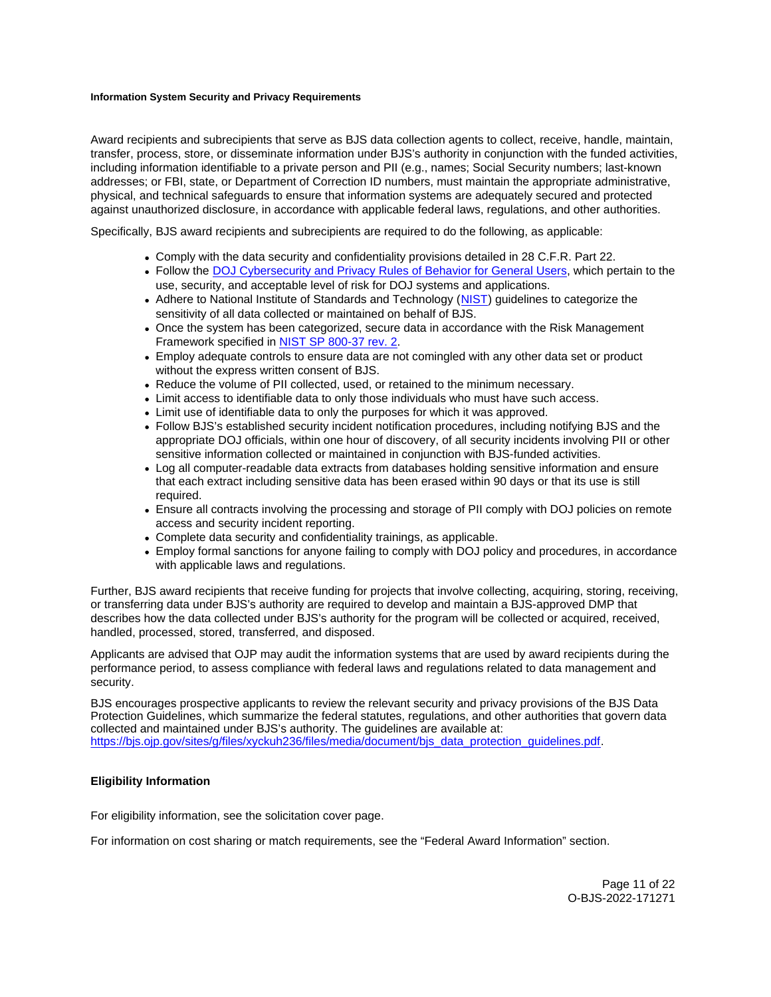#### <span id="page-10-0"></span>**Information System Security and Privacy Requirements**

Award recipients and subrecipients that serve as BJS data collection agents to collect, receive, handle, maintain, transfer, process, store, or disseminate information under BJS's authority in conjunction with the funded activities, including information identifiable to a private person and PII (e.g., names; Social Security numbers; last-known addresses; or FBI, state, or Department of Correction ID numbers, must maintain the appropriate administrative, physical, and technical safeguards to ensure that information systems are adequately secured and protected against unauthorized disclosure, in accordance with applicable federal laws, regulations, and other authorities.

Specifically, BJS award recipients and subrecipients are required to do the following, as applicable:

- Comply with the data security and confidentiality provisions detailed in 28 C.F.R. Part 22.
- Follow the [DOJ Cybersecurity and Privacy Rules of Behavior for General Users,](https://dojnet.doj.gov/jmd/ocio/ocio-document_library/cs/7-DOJ_Rules_of_Behavior/rob-general-users.pdf) which pertain to the use, security, and acceptable level of risk for DOJ systems and applications.
- Adhere to National Institute of Standards and Technology ([NIST\)](https://www.nist.gov/cybersecurity) guidelines to categorize the sensitivity of all data collected or maintained on behalf of BJS.
- Once the system has been categorized, secure data in accordance with the Risk Management Framework specified in [NIST SP 800-37 rev. 2.](https://doi.org/10.6028/NIST.SP.800-37r2)
- Employ adequate controls to ensure data are not comingled with any other data set or product without the express written consent of BJS.
- Reduce the volume of PII collected, used, or retained to the minimum necessary.
- Limit access to identifiable data to only those individuals who must have such access.
- Limit use of identifiable data to only the purposes for which it was approved.
- Follow BJS's established security incident notification procedures, including notifying BJS and the appropriate DOJ officials, within one hour of discovery, of all security incidents involving PII or other sensitive information collected or maintained in conjunction with BJS-funded activities.
- Log all computer-readable data extracts from databases holding sensitive information and ensure that each extract including sensitive data has been erased within 90 days or that its use is still required.
- Ensure all contracts involving the processing and storage of PII comply with DOJ policies on remote access and security incident reporting.
- Complete data security and confidentiality trainings, as applicable.
- Employ formal sanctions for anyone failing to comply with DOJ policy and procedures, in accordance with applicable laws and regulations.

Further, BJS award recipients that receive funding for projects that involve collecting, acquiring, storing, receiving, or transferring data under BJS's authority are required to develop and maintain a BJS-approved DMP that describes how the data collected under BJS's authority for the program will be collected or acquired, received, handled, processed, stored, transferred, and disposed.

Applicants are advised that OJP may audit the information systems that are used by award recipients during the performance period, to assess compliance with federal laws and regulations related to data management and security.

BJS encourages prospective applicants to review the relevant security and privacy provisions of the BJS Data Protection Guidelines, which summarize the federal statutes, regulations, and other authorities that govern data collected and maintained under BJS's authority. The guidelines are available at: [https://bjs.ojp.gov/sites/g/files/xyckuh236/files/media/document/bjs\\_data\\_protection\\_guidelines.pdf.](https://bjs.ojp.gov/sites/g/files/xyckuh236/files/media/document/bjs_data_protection_guidelines.pdf)

## **Eligibility Information**

For eligibility information, see the solicitation cover page.

For information on cost sharing or match requirements, see the "Federal Award Information" section.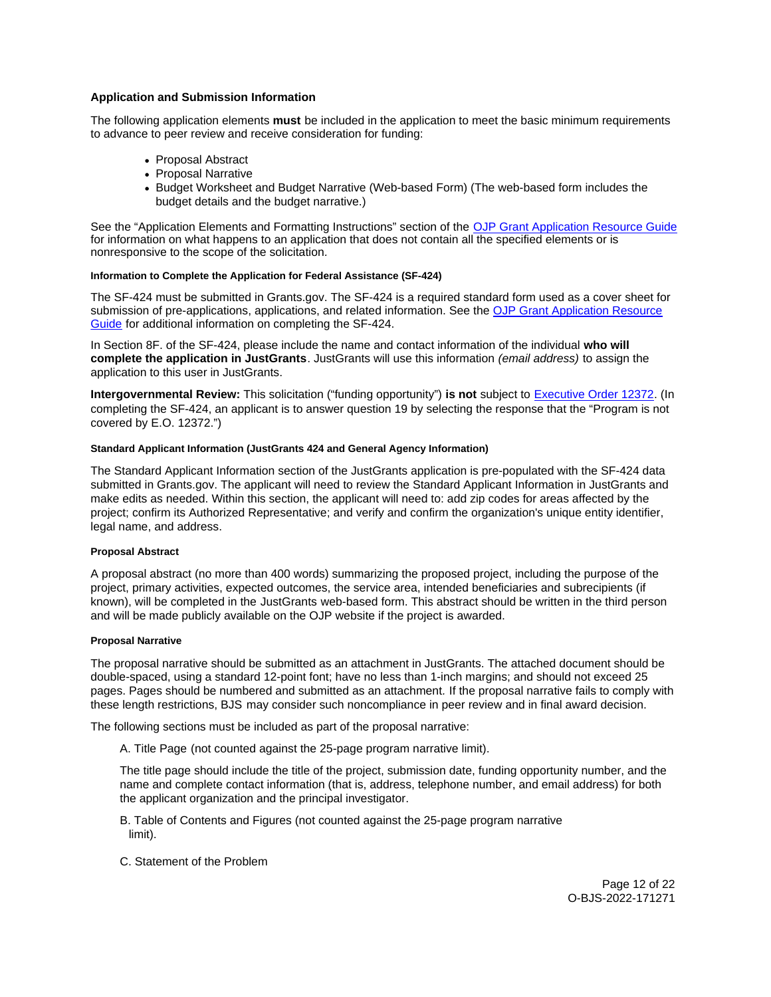## <span id="page-11-0"></span>**Application and Submission Information**

The following application elements **must** be included in the application to meet the basic minimum requirements to advance to peer review and receive consideration for funding:

- Proposal Abstract
- Proposal Narrative
- Budget Worksheet and Budget Narrative (Web-based Form) (The web-based form includes the budget details and the budget narrative.)

See the "Application Elements and Formatting Instructions" section of the [OJP Grant Application Resource Guide](https://www.ojp.gov/funding/apply/ojp-grant-application-resource-guide#application-elements)  for information on what happens to an application that does not contain all the specified elements or is nonresponsive to the scope of the solicitation.

## **Information to Complete the Application for Federal Assistance (SF-424)**

The SF-424 must be submitted in [Grants.gov.](https://Grants.gov) The SF-424 is a required standard form used as a cover sheet for submission of pre-applications, applications, and related information. See the [OJP Grant Application Resource](https://www.ojp.gov/funding/apply/ojp-grant-application-resource-guide#complete-application)  [Guide](https://www.ojp.gov/funding/apply/ojp-grant-application-resource-guide#complete-application) for additional information on completing the SF-424.

In Section 8F. of the SF-424, please include the name and contact information of the individual **who will complete the application in JustGrants**. JustGrants will use this information (email address) to assign the application to this user in JustGrants.

**Intergovernmental Review:** This solicitation ("funding opportunity") **is not** subject to [Executive Order 12372.](https://www.archives.gov/federal-register/codification/executive-order/12372.html) (In completing the SF-424, an applicant is to answer question 19 by selecting the response that the "Program is not covered by E.O. 12372.")

## **Standard Applicant Information (JustGrants 424 and General Agency Information)**

The Standard Applicant Information section of the JustGrants application is pre-populated with the SF-424 data submitted in [Grants.gov](https://Grants.gov). The applicant will need to review the Standard Applicant Information in JustGrants and make edits as needed. Within this section, the applicant will need to: add zip codes for areas affected by the project; confirm its Authorized Representative; and verify and confirm the organization's unique entity identifier, legal name, and address.

## **Proposal Abstract**

A proposal abstract (no more than 400 words) summarizing the proposed project, including the purpose of the project, primary activities, expected outcomes, the service area, intended beneficiaries and subrecipients (if known), will be completed in the JustGrants web-based form. This abstract should be written in the third person and will be made publicly available on the OJP website if the project is awarded.

#### **Proposal Narrative**

The proposal narrative should be submitted as an attachment in JustGrants. The attached document should be double-spaced, using a standard 12-point font; have no less than 1-inch margins; and should not exceed 25 pages. Pages should be numbered and submitted as an attachment. If the proposal narrative fails to comply with these length restrictions, BJS may consider such noncompliance in peer review and in final award decision.

The following sections must be included as part of the proposal narrative:

A. Title Page (not counted against the 25-page program narrative limit).

The title page should include the title of the project, submission date, funding opportunity number, and the name and complete contact information (that is, address, telephone number, and email address) for both the applicant organization and the principal investigator.

B. Table of Contents and Figures (not counted against the 25-page program narrative limit).

C. Statement of the Problem

Page 12 of 22 O-BJS-2022-171271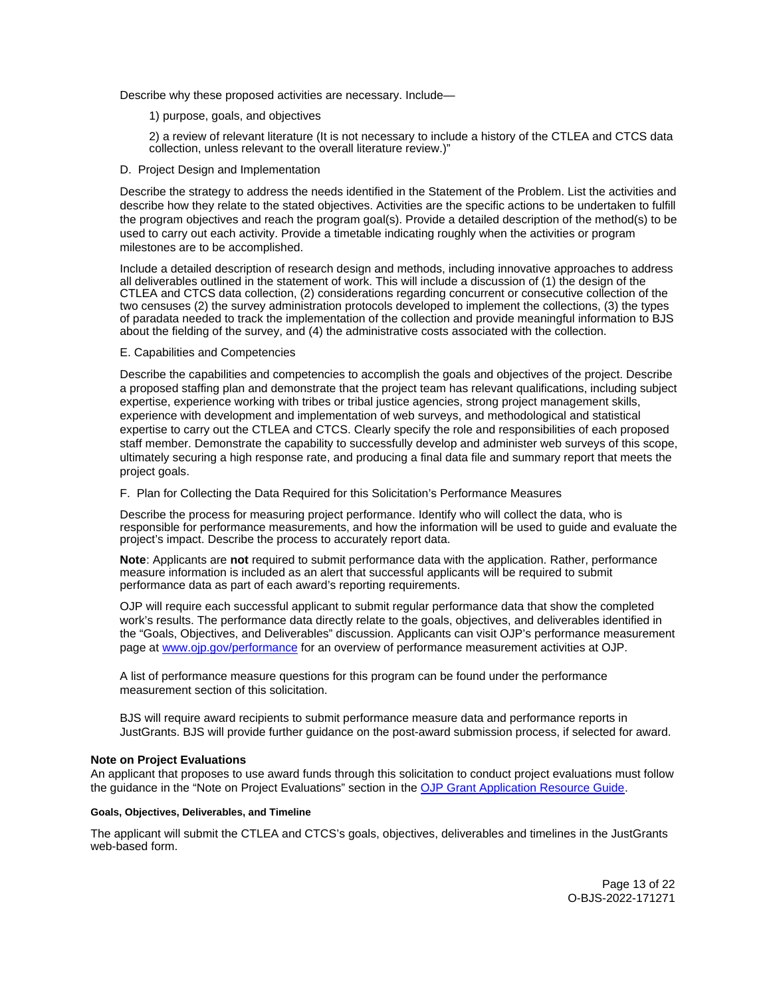<span id="page-12-0"></span>Describe why these proposed activities are necessary. Include—

1) purpose, goals, and objectives

2) a review of relevant literature (It is not necessary to include a history of the CTLEA and CTCS data collection, unless relevant to the overall literature review.)"

D. Project Design and Implementation

Describe the strategy to address the needs identified in the Statement of the Problem. List the activities and describe how they relate to the stated objectives. Activities are the specific actions to be undertaken to fulfill the program objectives and reach the program goal(s). Provide a detailed description of the method(s) to be used to carry out each activity. Provide a timetable indicating roughly when the activities or program milestones are to be accomplished.

Include a detailed description of research design and methods, including innovative approaches to address all deliverables outlined in the statement of work. This will include a discussion of (1) the design of the CTLEA and CTCS data collection, (2) considerations regarding concurrent or consecutive collection of the two censuses (2) the survey administration protocols developed to implement the collections, (3) the types of paradata needed to track the implementation of the collection and provide meaningful information to BJS about the fielding of the survey, and (4) the administrative costs associated with the collection.

E. Capabilities and Competencies

Describe the capabilities and competencies to accomplish the goals and objectives of the project. Describe a proposed staffing plan and demonstrate that the project team has relevant qualifications, including subject expertise, experience working with tribes or tribal justice agencies, strong project management skills, experience with development and implementation of web surveys, and methodological and statistical expertise to carry out the CTLEA and CTCS. Clearly specify the role and responsibilities of each proposed staff member. Demonstrate the capability to successfully develop and administer web surveys of this scope, ultimately securing a high response rate, and producing a final data file and summary report that meets the project goals.

F. Plan for Collecting the Data Required for this Solicitation's Performance Measures

Describe the process for measuring project performance. Identify who will collect the data, who is responsible for performance measurements, and how the information will be used to guide and evaluate the project's impact. Describe the process to accurately report data.

**Note**: Applicants are **not** required to submit performance data with the application. Rather, performance measure information is included as an alert that successful applicants will be required to submit performance data as part of each award's reporting requirements.

OJP will require each successful applicant to submit regular performance data that show the completed work's results. The performance data directly relate to the goals, objectives, and deliverables identified in the "Goals, Objectives, and Deliverables" discussion. Applicants can visit OJP's performance measurement page at [www.ojp.gov/performance](https://www.ojp.gov/performance) for an overview of performance measurement activities at OJP.

A list of performance measure questions for this program can be found under the performance measurement section of this solicitation.

BJS will require award recipients to submit performance measure data and performance reports in JustGrants. BJS will provide further guidance on the post-award submission process, if selected for award.

## **Note on Project Evaluations**

An applicant that proposes to use award funds through this solicitation to conduct project evaluations must follow the guidance in the "Note on Project Evaluations" section in the [OJP Grant Application Resource Guide.](https://www.ojp.gov/funding/apply/ojp-grant-application-resource-guide#project-evaluations)

### **Goals, Objectives, Deliverables, and Timeline**

The applicant will submit the CTLEA and CTCS's goals, objectives, deliverables and timelines in the JustGrants web-based form.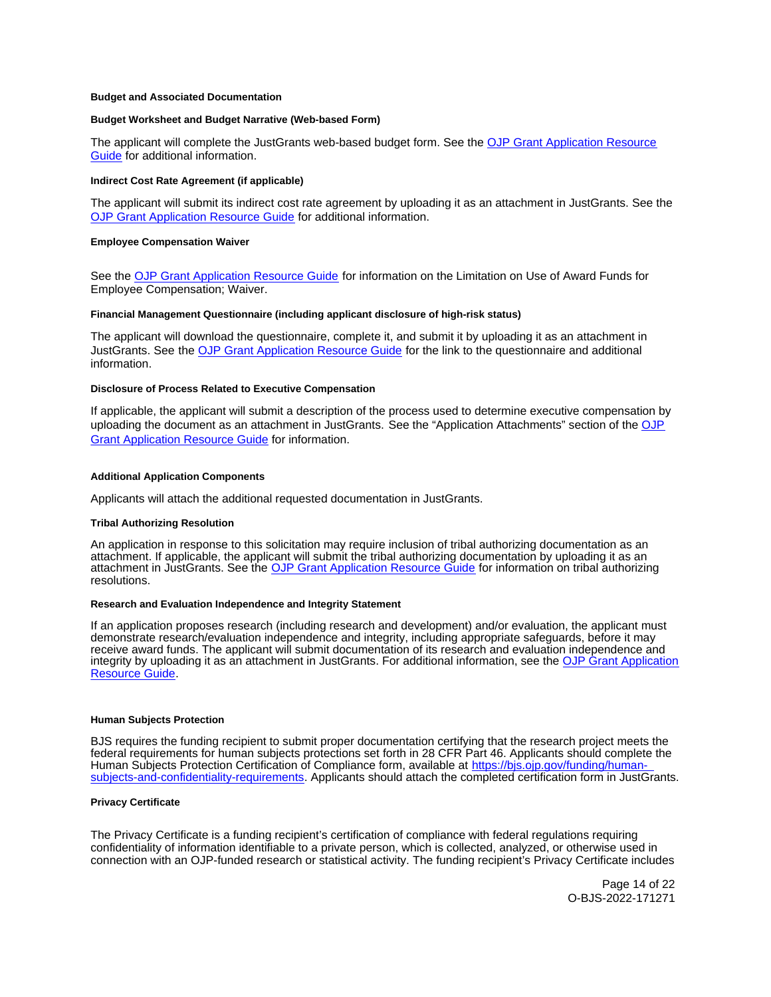#### <span id="page-13-0"></span>**Budget and Associated Documentation**

#### **Budget Worksheet and Budget Narrative (Web-based Form)**

The applicant will complete the JustGrants web-based budget form. See the [OJP Grant Application Resource](https://www.ojp.gov/funding/apply/ojp-grant-application-resource-guide#budget-prep)  [Guide](https://www.ojp.gov/funding/apply/ojp-grant-application-resource-guide#budget-prep) for additional information.

#### **Indirect Cost Rate Agreement (if applicable)**

The applicant will submit its indirect cost rate agreement by uploading it as an attachment in JustGrants. See the [OJP Grant Application Resource Guide](https://www.ojp.gov/funding/apply/ojp-grant-application-resource-guide#indirect-cost) for additional information.

#### **Employee Compensation Waiver**

See the [OJP Grant Application Resource Guide](https://www.ojp.gov/funding/apply/ojp-grant-application-resource-guide#limitation-use-award) for information on the Limitation on Use of Award Funds for Employee Compensation; Waiver.

#### **Financial Management Questionnaire (including applicant disclosure of high-risk status)**

The applicant will download the questionnaire, complete it, and submit it by uploading it as an attachment in JustGrants. See the [OJP Grant Application Resource Guide](https://www.ojp.gov/funding/apply/ojp-grant-application-resource-guide#fm-internal-controls-questionnaire) for the link to the questionnaire and additional information.

#### **Disclosure of Process Related to Executive Compensation**

If applicable, the applicant will submit a description of the process used to determine executive compensation by uploading the document as an attachment in JustGrants. See the "Application Attachments" section of the [OJP](https://www.ojp.gov/funding/apply/ojp-grant-application-resource-guide#disclosure-process-executive)  [Grant Application Resource Guide](https://www.ojp.gov/funding/apply/ojp-grant-application-resource-guide#disclosure-process-executive) for information.

#### **Additional Application Components**

Applicants will attach the additional requested documentation in JustGrants.

#### **Tribal Authorizing Resolution**

An application in response to this solicitation may require inclusion of tribal authorizing documentation as an attachment. If applicable, the applicant will submit the tribal authorizing documentation by uploading it as an attachment in JustGrants. See the [OJP Grant Application Resource Guide](https://www.ojp.gov/funding/apply/ojp-grant-application-resource-guide#tribal-authorizing-resolution) for information on tribal authorizing resolutions.

#### **Research and Evaluation Independence and Integrity Statement**

If an application proposes research (including research and development) and/or evaluation, the applicant must demonstrate research/evaluation independence and integrity, including appropriate safeguards, before it may receive award funds. The applicant will submit documentation of its research and evaluation independence and integrity by uploading it as an attachment in JustGrants. For additional information, see the [OJP Grant Application](https://www.ojp.gov/funding/apply/ojp-grant-application-resource-guide#research-evaluation)  [Resource Guide.](https://www.ojp.gov/funding/apply/ojp-grant-application-resource-guide#research-evaluation)

#### **Human Subjects Protection**

BJS requires the funding recipient to submit proper documentation certifying that the research project meets the federal requirements for human subjects protections set forth in 28 CFR Part 46. Applicants should complete the Human Subjects Protection Certification of Compliance form, available at [https://bjs.ojp.gov/funding/human](https://bjs.ojp.gov/funding/human-subjects-and-confidentiality-requirements)[subjects-and-confidentiality-requirements.](https://bjs.ojp.gov/funding/human-subjects-and-confidentiality-requirements) Applicants should attach the completed certification form in JustGrants.

## **Privacy Certificate**

The Privacy Certificate is a funding recipient's certification of compliance with federal regulations requiring confidentiality of information identifiable to a private person, which is collected, analyzed, or otherwise used in connection with an OJP-funded research or statistical activity. The funding recipient's Privacy Certificate includes

> Page 14 of 22 O-BJS-2022-171271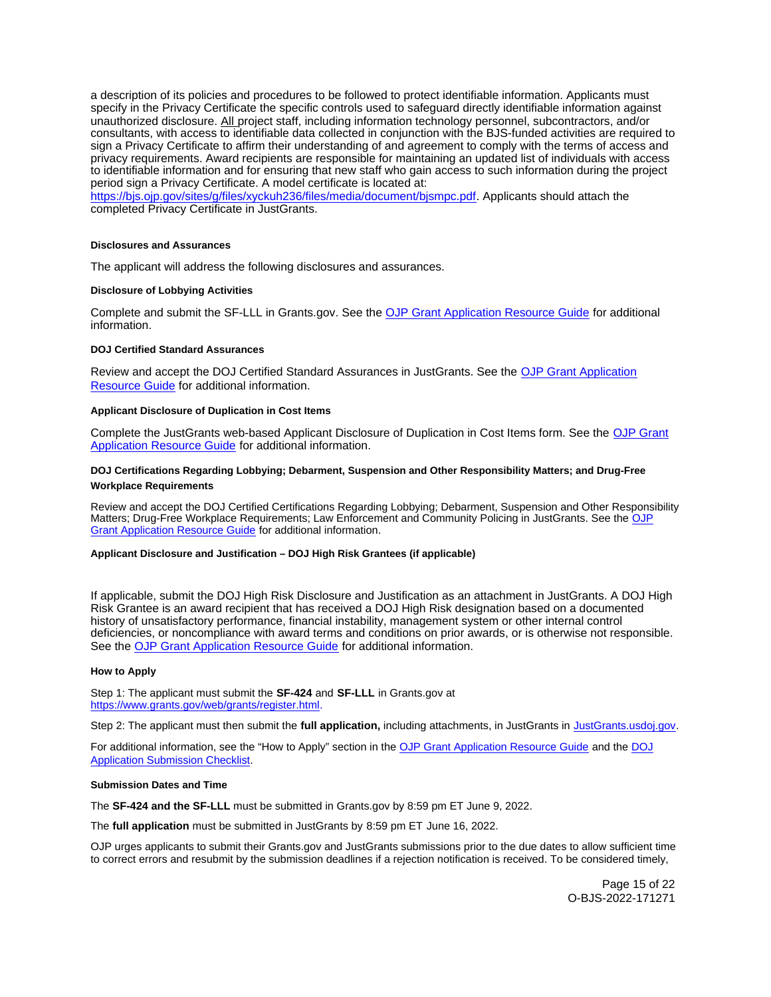<span id="page-14-0"></span>a description of its policies and procedures to be followed to protect identifiable information. Applicants must specify in the Privacy Certificate the specific controls used to safeguard directly identifiable information against unauthorized disclosure. All project staff, including information technology personnel, subcontractors, and/or consultants, with access to identifiable data collected in conjunction with the BJS-funded activities are required to sign a Privacy Certificate to affirm their understanding of and agreement to comply with the terms of access and privacy requirements. Award recipients are responsible for maintaining an updated list of individuals with access to identifiable information and for ensuring that new staff who gain access to such information during the project period sign a Privacy Certificate. A model certificate is located at:

[https://bjs.ojp.gov/sites/g/files/xyckuh236/files/media/document/bjsmpc.pdf.](https://bjs.ojp.gov/sites/g/files/xyckuh236/files/media/document/bjsmpc.pdf) Applicants should attach the completed Privacy Certificate in JustGrants.

#### **Disclosures and Assurances**

The applicant will address the following disclosures and assurances.

#### **Disclosure of Lobbying Activities**

Complete and submit the SF-LLL in [Grants.gov](https://Grants.gov). See the [OJP Grant Application Resource Guide](https://www.ojp.gov/funding/apply/ojp-grant-application-resource-guide#disclosure-lobby) for additional information.

#### **DOJ Certified Standard Assurances**

Review and accept the DOJ Certified Standard Assurances in JustGrants. See the [OJP Grant Application](https://www.ojp.gov/funding/apply/ojp-grant-application-resource-guide#administrative)  [Resource Guide](https://www.ojp.gov/funding/apply/ojp-grant-application-resource-guide#administrative) for additional information.

#### **Applicant Disclosure of Duplication in Cost Items**

Complete the JustGrants web-based Applicant Disclosure of Duplication in Cost Items form. See the [OJP Grant](https://www.ojp.gov/funding/apply/ojp-grant-application-resource-guide#applicant-disclosure-pending-applications)  [Application Resource Guide](https://www.ojp.gov/funding/apply/ojp-grant-application-resource-guide#applicant-disclosure-pending-applications) for additional information.

## **DOJ Certifications Regarding Lobbying; Debarment, Suspension and Other Responsibility Matters; and Drug-Free Workplace Requirements**

Review and accept the DOJ Certified Certifications Regarding Lobbying; Debarment, Suspension and Other Responsibility Matters; Drug-Free Workplace Requirements; Law Enforcement and Community Policing in JustGrants. See the [OJP](https://www.ojp.gov/funding/apply/ojp-grant-application-resource-guide#administrative)  [Grant Application Resource Guide](https://www.ojp.gov/funding/apply/ojp-grant-application-resource-guide#administrative) for additional information.

#### **Applicant Disclosure and Justification – DOJ High Risk Grantees (if applicable)**

If applicable, submit the DOJ High Risk Disclosure and Justification as an attachment in JustGrants. A DOJ High Risk Grantee is an award recipient that has received a DOJ High Risk designation based on a documented history of unsatisfactory performance, financial instability, management system or other internal control deficiencies, or noncompliance with award terms and conditions on prior awards, or is otherwise not responsible. See the [OJP Grant Application Resource Guide](https://www.ojp.gov/funding/apply/ojp-grant-application-resource-guide#applicant-disclosure-justification) for additional information.

#### **How to Apply**

Step 1: The applicant must submit the **SF-424** and **SF-LLL** in [Grants.gov](https://Grants.gov) at [https://www.grants.gov/web/grants/register.html.](https://www.grants.gov/web/grants/register.html)

Step 2: The applicant must then submit the **full application,** including attachments, in JustGrants in [JustGrants.usdoj.gov.](https://justicegrants.usdoj.gov/)

For additional information, see the "How to Apply" section in the [OJP Grant Application Resource Guide](https://www.ojp.gov/funding/apply/ojp-grant-application-resource-guide#apply) and the [DOJ](https://justicegrants.usdoj.gov/sites/g/files/xyckuh296/files/media/document/appln-submission-checklist.pdf)  [Application Submission Checklist.](https://justicegrants.usdoj.gov/sites/g/files/xyckuh296/files/media/document/appln-submission-checklist.pdf)

#### **Submission Dates and Time**

The **SF-424 and the SF-LLL** must be submitted in [Grants.gov](https://Grants.gov) by 8:59 pm ET June 9, 2022.

The **full application** must be submitted in JustGrants by 8:59 pm ET June 16, 2022.

OJP urges applicants to submit their [Grants.gov](https://Grants.gov) and JustGrants submissions prior to the due dates to allow sufficient time to correct errors and resubmit by the submission deadlines if a rejection notification is received. To be considered timely,

> Page 15 of 22 O-BJS-2022-171271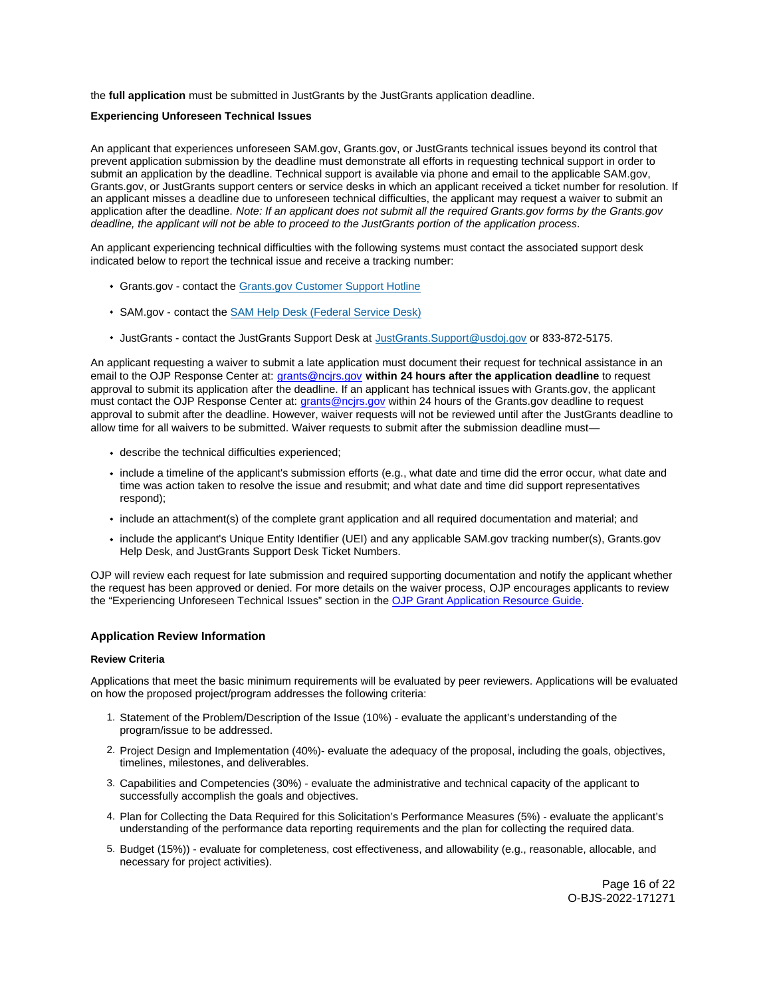<span id="page-15-0"></span>the **full application** must be submitted in JustGrants by the JustGrants application deadline.

#### **Experiencing Unforeseen Technical Issues**

An applicant that experiences unforeseen SAM.gov, [Grants.gov](https://Grants.gov), or JustGrants technical issues beyond its control that prevent application submission by the deadline must demonstrate all efforts in requesting technical support in order to submit an application by the deadline. Technical support is available via phone and email to the applicable SAM.gov, [Grants.gov](https://Grants.gov), or JustGrants support centers or service desks in which an applicant received a ticket number for resolution. If an applicant misses a deadline due to unforeseen technical difficulties, the applicant may request a waiver to submit an application after the deadline. Note: If an applicant does not submit all the required [Grants.gov](https://Grants.gov) forms by the [Grants.gov](https://Grants.gov) deadline, the applicant will not be able to proceed to the JustGrants portion of the application process.

An applicant experiencing technical difficulties with the following systems must contact the associated support desk indicated below to report the technical issue and receive a tracking number:

- [Grants.gov](https://Grants.gov)  contact the [Grants.gov Customer Support Hotline](https://www.grants.gov/web/grants/support.html)
- SAM.gov contact the [SAM Help Desk \(Federal Service Desk\)](https://www.fsd.gov/gsafsd_sp)
- JustGrants contact the JustGrants Support Desk at [JustGrants.Support@usdoj.gov](mailto:JustGrants.Support@usdoj.gov) or 833-872-5175.

An applicant requesting a waiver to submit a late application must document their request for technical assistance in an email to the OJP Response Center at: [grants@ncjrs.gov](mailto:grants@ncjrs.gov) **within 24 hours after the application deadline** to request approval to submit its application after the deadline. If an applicant has technical issues with [Grants.gov,](https://Grants.gov) the applicant must contact the OJP Response Center at: [grants@ncjrs.gov](mailto:grants@ncjrs.gov) within 24 hours of the [Grants.gov](https://Grants.gov) deadline to request approval to submit after the deadline. However, waiver requests will not be reviewed until after the JustGrants deadline to allow time for all waivers to be submitted. Waiver requests to submit after the submission deadline must—

- describe the technical difficulties experienced;
- include a timeline of the applicant's submission efforts (e.g., what date and time did the error occur, what date and time was action taken to resolve the issue and resubmit; and what date and time did support representatives respond);
- include an attachment(s) of the complete grant application and all required documentation and material; and
- include the applicant's Unique Entity Identifier (UEI) and any applicable SAM.gov tracking number(s), [Grants.gov](https://Grants.gov)  Help Desk, and JustGrants Support Desk Ticket Numbers.

OJP will review each request for late submission and required supporting documentation and notify the applicant whether the request has been approved or denied. For more details on the waiver process, OJP encourages applicants to review the "Experiencing Unforeseen Technical Issues" section in the [OJP Grant Application Resource Guide](https://www.ojp.gov/funding/apply/ojp-grant-application-resource-guide#experiencing-unforeseen-technical-issues).

#### **Application Review Information**

#### **Review Criteria**

Applications that meet the basic minimum requirements will be evaluated by peer reviewers. Applications will be evaluated on how the proposed project/program addresses the following criteria:

- 1. Statement of the Problem/Description of the Issue (10%) evaluate the applicant's understanding of the program/issue to be addressed.
- 2. Project Design and Implementation (40%)- evaluate the adequacy of the proposal, including the goals, objectives, timelines, milestones, and deliverables.
- 3. Capabilities and Competencies (30%) evaluate the administrative and technical capacity of the applicant to successfully accomplish the goals and objectives.
- 4. Plan for Collecting the Data Required for this Solicitation's Performance Measures (5%) evaluate the applicant's understanding of the performance data reporting requirements and the plan for collecting the required data.
- 5. Budget (15%)) evaluate for completeness, cost effectiveness, and allowability (e.g., reasonable, allocable, and necessary for project activities).

Page 16 of 22 O-BJS-2022-171271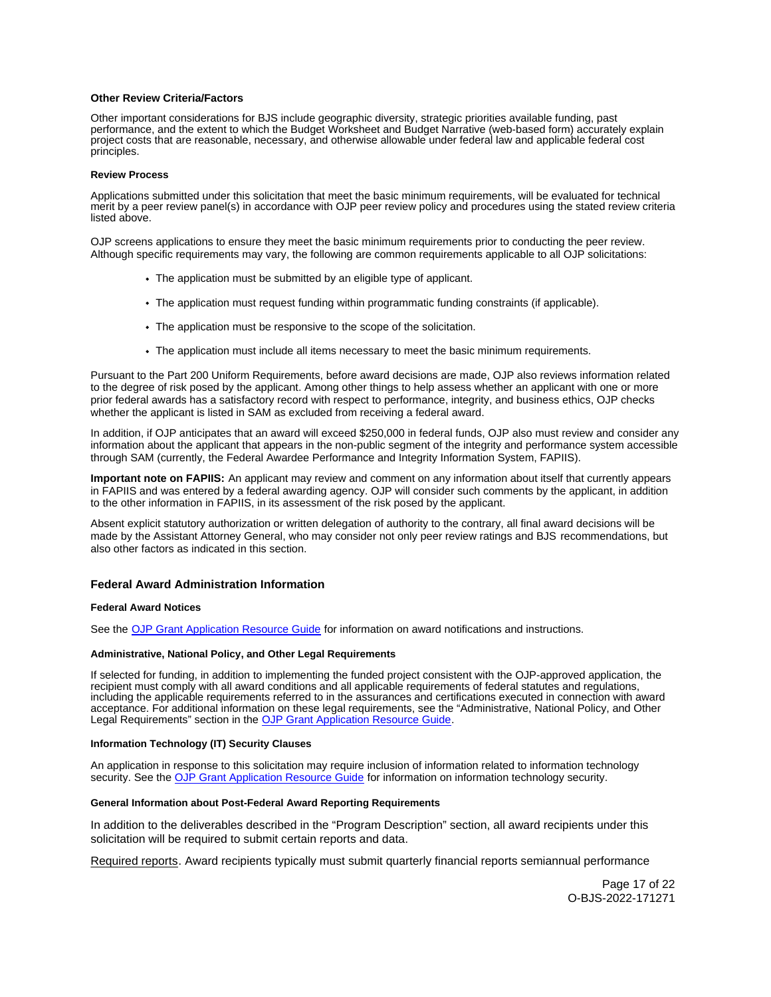#### <span id="page-16-0"></span>**Other Review Criteria/Factors**

Other important considerations for BJS include geographic diversity, strategic priorities available funding, past performance, and the extent to which the Budget Worksheet and Budget Narrative (web-based form) accurately explain project costs that are reasonable, necessary, and otherwise allowable under federal law and applicable federal cost principles.

#### **Review Process**

Applications submitted under this solicitation that meet the basic minimum requirements, will be evaluated for technical merit by a peer review panel(s) in accordance with OJP peer review policy and procedures using the stated review criteria listed above.

OJP screens applications to ensure they meet the basic minimum requirements prior to conducting the peer review. Although specific requirements may vary, the following are common requirements applicable to all OJP solicitations:

- The application must be submitted by an eligible type of applicant.
- The application must request funding within programmatic funding constraints (if applicable).
- The application must be responsive to the scope of the solicitation.
- The application must include all items necessary to meet the basic minimum requirements.

Pursuant to the Part 200 Uniform Requirements, before award decisions are made, OJP also reviews information related to the degree of risk posed by the applicant. Among other things to help assess whether an applicant with one or more prior federal awards has a satisfactory record with respect to performance, integrity, and business ethics, OJP checks whether the applicant is listed in SAM as excluded from receiving a federal award.

In addition, if OJP anticipates that an award will exceed \$250,000 in federal funds, OJP also must review and consider any information about the applicant that appears in the non-public segment of the integrity and performance system accessible through SAM (currently, the Federal Awardee Performance and Integrity Information System, FAPIIS).

**Important note on FAPIIS:** An applicant may review and comment on any information about itself that currently appears in FAPIIS and was entered by a federal awarding agency. OJP will consider such comments by the applicant, in addition to the other information in FAPIIS, in its assessment of the risk posed by the applicant.

Absent explicit statutory authorization or written delegation of authority to the contrary, all final award decisions will be made by the Assistant Attorney General, who may consider not only peer review ratings and BJS recommendations, but also other factors as indicated in this section.

#### **Federal Award Administration Information**

#### **Federal Award Notices**

See the [OJP Grant Application Resource Guide](https://www.ojp.gov/funding/apply/ojp-grant-application-resource-guide#federal-award-notices) for information on award notifications and instructions.

#### **Administrative, National Policy, and Other Legal Requirements**

If selected for funding, in addition to implementing the funded project consistent with the OJP-approved application, the recipient must comply with all award conditions and all applicable requirements of federal statutes and regulations, including the applicable requirements referred to in the assurances and certifications executed in connection with award acceptance. For additional information on these legal requirements, see the "Administrative, National Policy, and Other Legal Requirements" section in the [OJP Grant Application Resource Guide.](https://www.ojp.gov/funding/apply/ojp-grant-application-resource-guide#administrative)

#### **Information Technology (IT) Security Clauses**

An application in response to this solicitation may require inclusion of information related to information technology security. See the [OJP Grant Application Resource Guide](https://www.ojp.gov/funding/apply/ojp-grant-application-resource-guide#information-technology) for information on information technology security.

#### **General Information about Post-Federal Award Reporting Requirements**

In addition to the deliverables described in the "Program Description" section, all award recipients under this solicitation will be required to submit certain reports and data.

Required reports. Award recipients typically must submit quarterly financial reports semiannual performance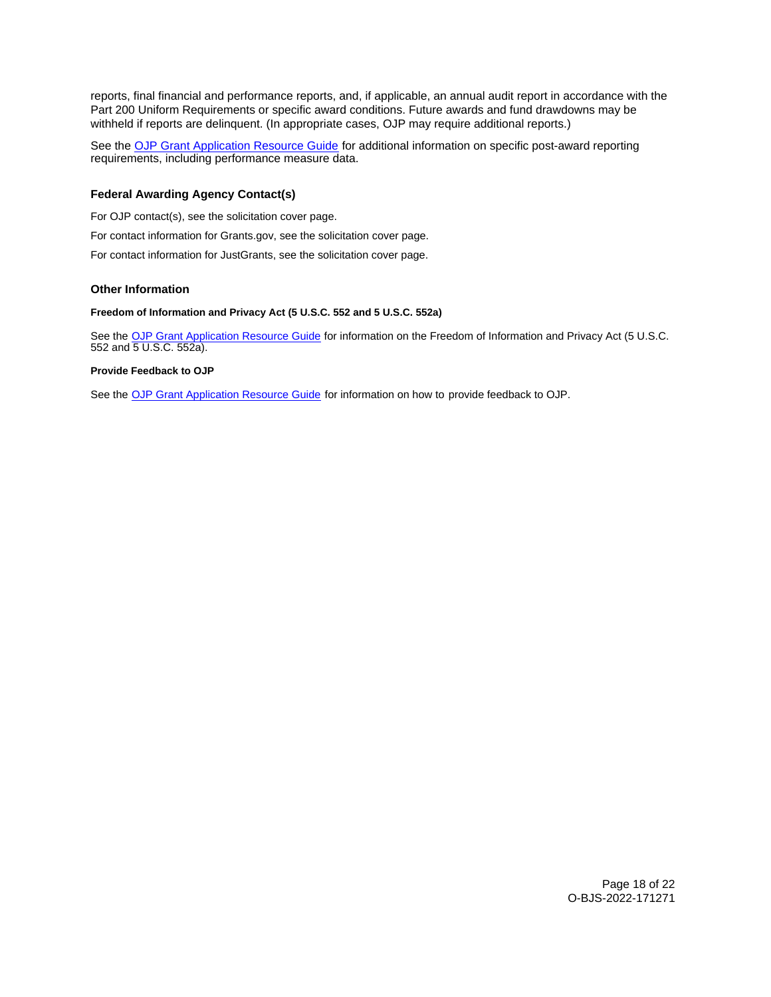<span id="page-17-0"></span>reports, final financial and performance reports, and, if applicable, an annual audit report in accordance with the Part 200 Uniform Requirements or specific award conditions. Future awards and fund drawdowns may be withheld if reports are delinquent. (In appropriate cases, OJP may require additional reports.)

See the [OJP Grant Application Resource Guide](https://www.ojp.gov/funding/apply/ojp-grant-application-resource-guide#general-information) for additional information on specific post-award reporting requirements, including performance measure data.

## **Federal Awarding Agency Contact(s)**

For OJP contact(s), see the solicitation cover page.

For contact information for [Grants.gov](https://Grants.gov), see the solicitation cover page.

For contact information for JustGrants, see the solicitation cover page.

## **Other Information**

### **Freedom of Information and Privacy Act (5 U.S.C. 552 and 5 U.S.C. 552a)**

See the [OJP Grant Application Resource Guide](https://www.ojp.gov/funding/apply/ojp-grant-application-resource-guide#foia) for information on the Freedom of Information and Privacy Act (5 U.S.C. 552 and 5 U.S.C. 552a).

## **Provide Feedback to OJP**

See the [OJP Grant Application Resource Guide](https://www.ojp.gov/funding/apply/ojp-grant-application-resource-guide#feedback) for information on how to provide feedback to OJP.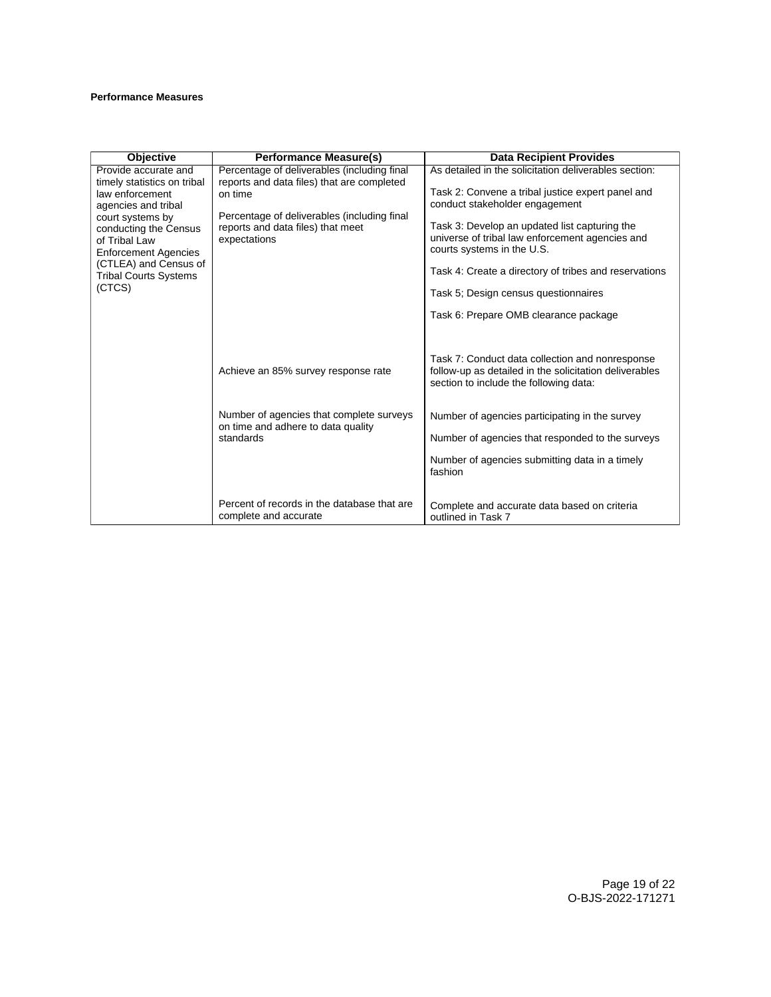## <span id="page-18-0"></span>**Performance Measures**

| <b>Objective</b>                                                                                                                                                                                                                      | <b>Performance Measure(s)</b>                                                                                                                             | <b>Data Recipient Provides</b>                                                                                                                                                                                                                                                 |
|---------------------------------------------------------------------------------------------------------------------------------------------------------------------------------------------------------------------------------------|-----------------------------------------------------------------------------------------------------------------------------------------------------------|--------------------------------------------------------------------------------------------------------------------------------------------------------------------------------------------------------------------------------------------------------------------------------|
| Provide accurate and                                                                                                                                                                                                                  | Percentage of deliverables (including final                                                                                                               | As detailed in the solicitation deliverables section:                                                                                                                                                                                                                          |
| timely statistics on tribal<br>law enforcement<br>agencies and tribal<br>court systems by<br>conducting the Census<br>of Tribal Law<br><b>Enforcement Agencies</b><br>(CTLEA) and Census of<br><b>Tribal Courts Systems</b><br>(CTCS) | reports and data files) that are completed<br>on time<br>Percentage of deliverables (including final<br>reports and data files) that meet<br>expectations | Task 2: Convene a tribal justice expert panel and<br>conduct stakeholder engagement<br>Task 3: Develop an updated list capturing the<br>universe of tribal law enforcement agencies and<br>courts systems in the U.S.<br>Task 4: Create a directory of tribes and reservations |
|                                                                                                                                                                                                                                       |                                                                                                                                                           | Task 5; Design census questionnaires                                                                                                                                                                                                                                           |
|                                                                                                                                                                                                                                       |                                                                                                                                                           | Task 6: Prepare OMB clearance package                                                                                                                                                                                                                                          |
|                                                                                                                                                                                                                                       | Achieve an 85% survey response rate                                                                                                                       | Task 7: Conduct data collection and nonresponse<br>follow-up as detailed in the solicitation deliverables<br>section to include the following data:                                                                                                                            |
|                                                                                                                                                                                                                                       | Number of agencies that complete surveys                                                                                                                  | Number of agencies participating in the survey                                                                                                                                                                                                                                 |
|                                                                                                                                                                                                                                       | on time and adhere to data quality<br>standards                                                                                                           | Number of agencies that responded to the surveys                                                                                                                                                                                                                               |
|                                                                                                                                                                                                                                       |                                                                                                                                                           | Number of agencies submitting data in a timely<br>fashion                                                                                                                                                                                                                      |
|                                                                                                                                                                                                                                       | Percent of records in the database that are<br>complete and accurate                                                                                      | Complete and accurate data based on criteria<br>outlined in Task 7                                                                                                                                                                                                             |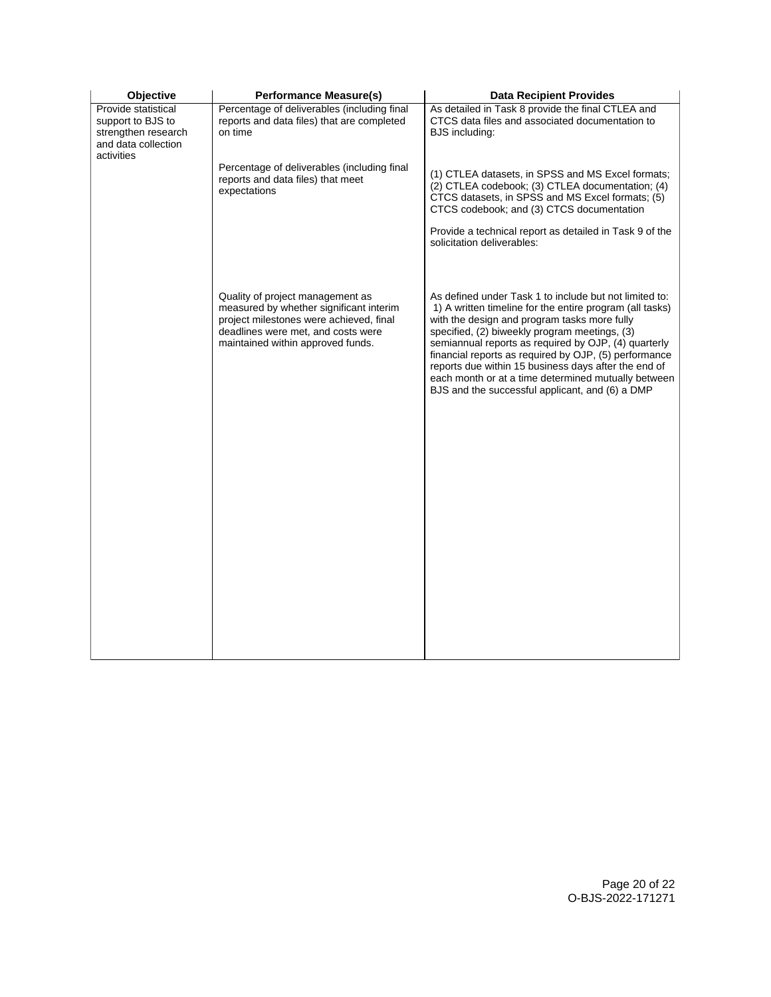| Objective                                                                                            | <b>Performance Measure(s)</b>                                                                                                                                                                     | <b>Data Recipient Provides</b>                                                                                                                                                                                                                                                                                                                                                                                                                                                                         |
|------------------------------------------------------------------------------------------------------|---------------------------------------------------------------------------------------------------------------------------------------------------------------------------------------------------|--------------------------------------------------------------------------------------------------------------------------------------------------------------------------------------------------------------------------------------------------------------------------------------------------------------------------------------------------------------------------------------------------------------------------------------------------------------------------------------------------------|
| Provide statistical<br>support to BJS to<br>strengthen research<br>and data collection<br>activities | Percentage of deliverables (including final<br>reports and data files) that are completed<br>on time                                                                                              | As detailed in Task 8 provide the final CTLEA and<br>CTCS data files and associated documentation to<br><b>BJS</b> including:                                                                                                                                                                                                                                                                                                                                                                          |
|                                                                                                      | Percentage of deliverables (including final<br>reports and data files) that meet<br>expectations                                                                                                  | (1) CTLEA datasets, in SPSS and MS Excel formats;<br>(2) CTLEA codebook; (3) CTLEA documentation; (4)<br>CTCS datasets, in SPSS and MS Excel formats; (5)<br>CTCS codebook; and (3) CTCS documentation                                                                                                                                                                                                                                                                                                 |
|                                                                                                      |                                                                                                                                                                                                   | Provide a technical report as detailed in Task 9 of the<br>solicitation deliverables:                                                                                                                                                                                                                                                                                                                                                                                                                  |
|                                                                                                      | Quality of project management as<br>measured by whether significant interim<br>project milestones were achieved, final<br>deadlines were met, and costs were<br>maintained within approved funds. | As defined under Task 1 to include but not limited to:<br>1) A written timeline for the entire program (all tasks)<br>with the design and program tasks more fully<br>specified, (2) biweekly program meetings, (3)<br>semiannual reports as required by OJP, (4) quarterly<br>financial reports as required by OJP, (5) performance<br>reports due within 15 business days after the end of<br>each month or at a time determined mutually between<br>BJS and the successful applicant, and (6) a DMP |
|                                                                                                      |                                                                                                                                                                                                   |                                                                                                                                                                                                                                                                                                                                                                                                                                                                                                        |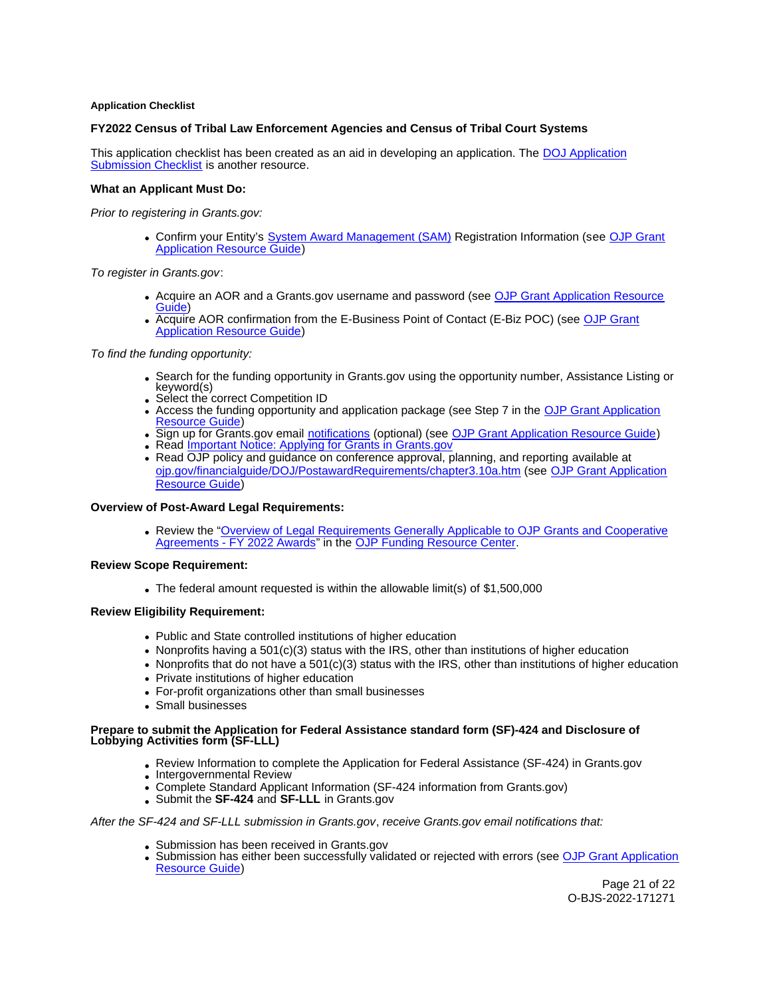## <span id="page-20-0"></span>**Application Checklist**

## **FY2022 Census of Tribal Law Enforcement Agencies and Census of Tribal Court Systems**

This application checklist has been created as an aid in developing an application. The [DOJ Application](https://justicegrants.usdoj.gov/sites/g/files/xyckuh296/files/media/document/appln-submission-checklist.pdf)  [Submission Checklist](https://justicegrants.usdoj.gov/sites/g/files/xyckuh296/files/media/document/appln-submission-checklist.pdf) is another resource.

## **What an Applicant Must Do:**

Prior to registering in [Grants.gov:](https://Grants.gov)

Confirm your Entity's [System Award Management \(SAM\)](https://sam.gov/SAM/) Registration Information (see [OJP Grant](https://www.ojp.gov/funding/apply/ojp-grant-application-resource-guide#apply)  [Application Resource Guide\)](https://www.ojp.gov/funding/apply/ojp-grant-application-resource-guide#apply)

To register in [Grants.gov](https://Grants.gov):

- Acquire an AOR and a [Grants.gov](https://Grants.gov) username and password (see OJP Grant Application Resource [Guide\)](https://www.ojp.gov/funding/apply/ojp-grant-application-resource-guide#apply)
- Acquire AOR confirmation from the E-Business Point of Contact (E-Biz POC) (see [OJP Grant](https://www.ojp.gov/funding/apply/ojp-grant-application-resource-guide#apply)  [Application Resource Guide\)](https://www.ojp.gov/funding/apply/ojp-grant-application-resource-guide#apply)

To find the funding opportunity:

- Search for the funding opportunity in [Grants.gov](https://Grants.gov) using the opportunity number, Assistance Listing or keyword(s)<br>• Select the correct Competition ID
- Access the funding opportunity and application package (see Step 7 in the [OJP Grant Application](https://www.ojp.gov/funding/apply/ojp-grant-application-resource-guide#apply)
- [Resource Guide\)](https://www.ojp.gov/funding/apply/ojp-grant-application-resource-guide#apply) Sign up for [Grants.gov](https://Grants.gov) email [notifications](https://www.grants.gov/web/grants/manage-subscriptions.html) (optional) (see [OJP Grant Application Resource Guide\)](https://www.ojp.gov/funding/apply/ojp-grant-application-resource-guide#apply)
- Read Important Notice: Applying for Grants in Grants.gov
- Read OJP policy and guidance on conference approval, planning, and reporting available at [ojp.gov/financialguide/DOJ/PostawardRequirements/chapter3.10a.htm](https://ojp.gov/financialguide/DOJ/PostawardRequirements/chapter3.10a.htm) (see [OJP Grant Application](https://www.ojp.gov/funding/apply/ojp-grant-application-resource-guide#prior-approval)  [Resource Guide\)](https://www.ojp.gov/funding/apply/ojp-grant-application-resource-guide#prior-approval)

## **Overview of Post-Award Legal Requirements:**

Review the ["Overview of Legal Requirements Generally Applicable to OJP Grants and Cooperative](https://www.ojp.gov/funding/explore/legal-overview-fy-2022-awards)  [Agreements - FY 2022 Awards"](https://www.ojp.gov/funding/explore/legal-overview-fy-2022-awards) in the [OJP Funding Resource Center.](https://www.ojp.gov/funding/explore/legal-overview-awards)

## **Review Scope Requirement:**

The federal amount requested is within the allowable limit(s) of \$1,500,000

## **Review Eligibility Requirement:**

- Public and State controlled institutions of higher education
- Nonprofits having a 501(c)(3) status with the IRS, other than institutions of higher education
- Nonprofits that do not have a  $501(c)(3)$  status with the IRS, other than institutions of higher education
- Private institutions of higher education
- For-profit organizations other than small businesses
- Small businesses

## **Prepare to submit the Application for Federal Assistance standard form (SF)-424 and Disclosure of Lobbying Activities form (SF-LLL)**

- Review Information to complete the Application for Federal Assistance (SF-424) in [Grants.gov](https://Grants.gov)
- Intergovernmental Review
- Complete Standard Applicant Information (SF-424 information from [Grants.gov\)](https://Grants.gov)
- Submit the **SF-424** and **SF-LLL** in [Grants.gov](https://Grants.gov)

## After the SF-424 and SF-LLL submission in [Grants.gov](https://Grants.gov), receive [Grants.gov](https://Grants.gov) email notifications that:

- Submission has been received in [Grants.gov](https://Grants.gov)
- Submission has either been successfully validated or rejected with errors (see OJP Grant Application [Resource Guide\)](https://www.ojp.gov/funding/apply/ojp-grant-application-resource-guide#apply)

Page 21 of 22 O-BJS-2022-171271